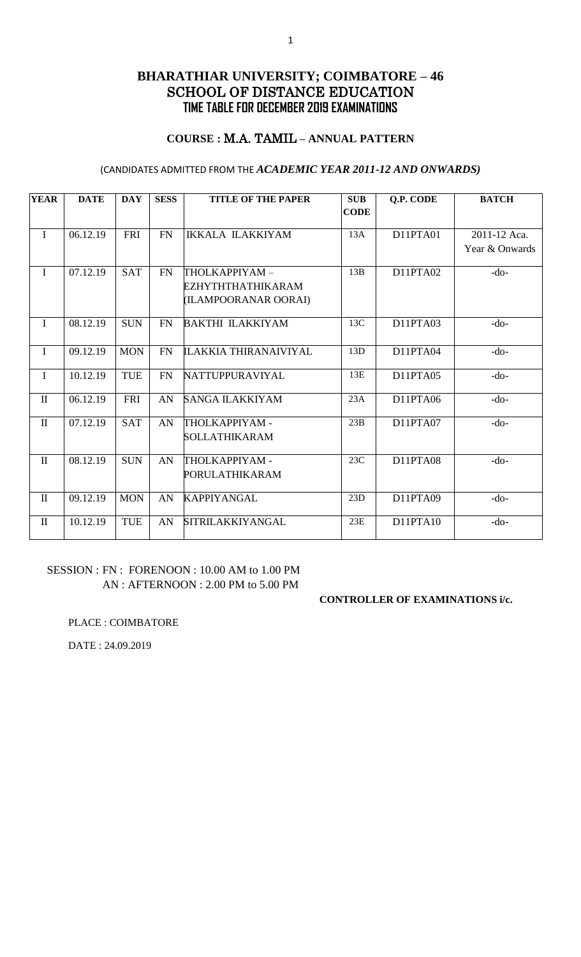### **COURSE :** M.A. TAMIL **– ANNUAL PATTERN**

### (CANDIDATES ADMITTED FROM THE *ACADEMIC YEAR 2011-12 AND ONWARDS)*

| <b>YEAR</b>  | <b>DATE</b> | <b>DAY</b> | <b>SESS</b> | <b>TITLE OF THE PAPER</b>    | <b>SUB</b>  | <b>Q.P. CODE</b> | <b>BATCH</b>   |
|--------------|-------------|------------|-------------|------------------------------|-------------|------------------|----------------|
|              |             |            |             |                              | <b>CODE</b> |                  |                |
| $\mathbf I$  | 06.12.19    | <b>FRI</b> | <b>FN</b>   | <b>IKKALA ILAKKIYAM</b>      | 13A         | D11PTA01         | 2011-12 Aca.   |
|              |             |            |             |                              |             |                  | Year & Onwards |
|              |             |            |             |                              |             |                  |                |
| $\mathbf I$  | 07.12.19    | <b>SAT</b> | <b>FN</b>   | THOLKAPPIYAM-                | 13B         | D11PTA02         | $-do-$         |
|              |             |            |             | EZHYTHTHATHIKARAM            |             |                  |                |
|              |             |            |             | (ILAMPOORANAR OORAI)         |             |                  |                |
| $\mathbf I$  | 08.12.19    | <b>SUN</b> | <b>FN</b>   | <b>BAKTHI ILAKKIYAM</b>      | 13C         | D11PTA03         | $-do-$         |
|              |             |            |             |                              |             |                  |                |
| $\mathbf I$  | 09.12.19    | <b>MON</b> | <b>FN</b>   | <b>ILAKKIA THIRANAIVIYAL</b> | 13D         | D11PTA04         | $-do-$         |
| $\mathbf I$  | 10.12.19    | <b>TUE</b> | <b>FN</b>   | NATTUPPURAVIYAL              | 13E         | D11PTA05         | $-do-$         |
|              |             |            |             |                              |             |                  |                |
| $\mathbf{I}$ | 06.12.19    | <b>FRI</b> | AN          | <b>SANGA ILAKKIYAM</b>       | 23A         | D11PTA06         | $-do-$         |
|              |             |            |             |                              |             |                  |                |
| $\mathbf{I}$ | 07.12.19    | <b>SAT</b> | AN          | THOLKAPPIYAM -               | 23B         | D11PTA07         | $-do-$         |
|              |             |            |             | SOLLATHIKARAM                |             |                  |                |
| $\mathbf{I}$ | 08.12.19    | <b>SUN</b> | AN          | THOLKAPPIYAM -               | 23C         | D11PTA08         | $-do-$         |
|              |             |            |             | PORULATHIKARAM               |             |                  |                |
| $\mathbf{I}$ | 09.12.19    | <b>MON</b> | AN          | <b>KAPPIYANGAL</b>           | 23D         | D11PTA09         | $-do-$         |
|              |             |            |             |                              |             |                  |                |
| $\rm II$     | 10.12.19    | <b>TUE</b> | AN          | <b>SITRILAKKIYANGAL</b>      | 23E         | D11PTA10         | $-do-$         |
|              |             |            |             |                              |             |                  |                |

## SESSION : FN : FORENOON : 10.00 AM to 1.00 PM AN : AFTERNOON : 2.00 PM to 5.00 PM

#### **CONTROLLER OF EXAMINATIONS i/c.**

PLACE : COIMBATORE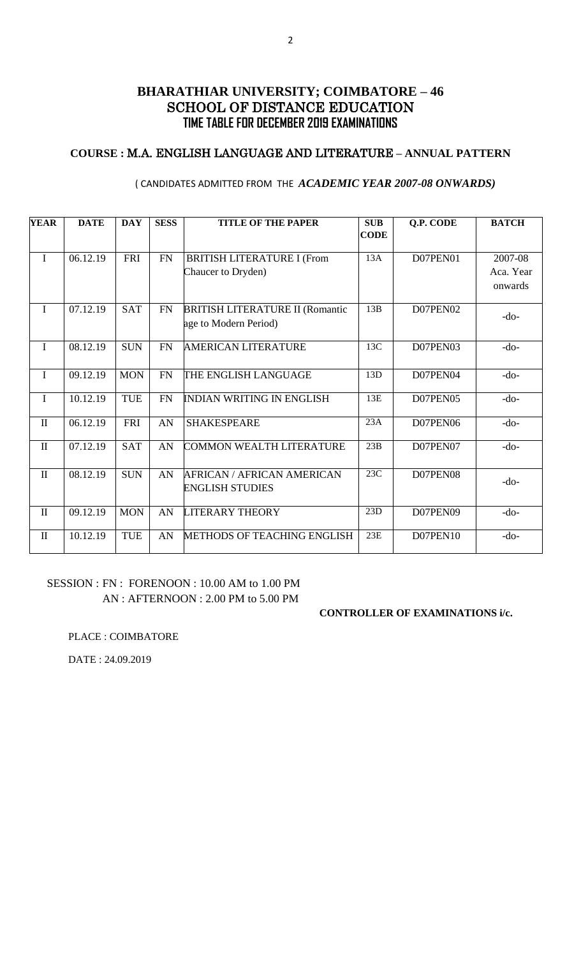## **COURSE :** M.A. ENGLISH LANGUAGE AND LITERATURE **– ANNUAL PATTERN**

| <b>YEAR</b>  | <b>DATE</b> | <b>DAY</b> | <b>SESS</b> | <b>TITLE OF THE PAPER</b>                                       | <b>SUB</b><br><b>CODE</b> | Q.P. CODE | <b>BATCH</b>                    |
|--------------|-------------|------------|-------------|-----------------------------------------------------------------|---------------------------|-----------|---------------------------------|
| $\mathbf I$  | 06.12.19    | <b>FRI</b> | ${\rm FN}$  | <b>BRITISH LITERATURE I (From</b><br>Chaucer to Dryden)         | 13A                       | D07PEN01  | 2007-08<br>Aca. Year<br>onwards |
| $\mathbf I$  | 07.12.19    | <b>SAT</b> | <b>FN</b>   | <b>BRITISH LITERATURE II (Romantic</b><br>age to Modern Period) | 13B                       | D07PEN02  | $-do-$                          |
| $\mathbf I$  | 08.12.19    | <b>SUN</b> | <b>FN</b>   | <b>AMERICAN LITERATURE</b>                                      | 13C                       | D07PEN03  | $-do-$                          |
| $\mathbf I$  | 09.12.19    | <b>MON</b> | <b>FN</b>   | THE ENGLISH LANGUAGE                                            | 13D                       | D07PEN04  | $-do-$                          |
| $\mathbf I$  | 10.12.19    | <b>TUE</b> | <b>FN</b>   | <b>INDIAN WRITING IN ENGLISH</b>                                | 13E                       | D07PEN05  | $-do-$                          |
| $\mathbf{I}$ | 06.12.19    | <b>FRI</b> | AN          | <b>SHAKESPEARE</b>                                              | 23A                       | D07PEN06  | $-do-$                          |
| $\rm II$     | 07.12.19    | <b>SAT</b> | AN          | <b>COMMON WEALTH LITERATURE</b>                                 | 23B                       | D07PEN07  | $-do-$                          |
| $\mathbf{I}$ | 08.12.19    | <b>SUN</b> | AN          | <b>AFRICAN / AFRICAN AMERICAN</b><br><b>ENGLISH STUDIES</b>     | 23C                       | D07PEN08  | $-do-$                          |
| $\mathbf{I}$ | 09.12.19    | <b>MON</b> | AN          | <b>LITERARY THEORY</b>                                          | 23D                       | D07PEN09  | $-do-$                          |
| $\mathbf{I}$ | 10.12.19    | <b>TUE</b> | AN          | <b>METHODS OF TEACHING ENGLISH</b>                              | 23E                       | D07PEN10  | $-do-$                          |

### ( CANDIDATES ADMITTED FROM THE *ACADEMIC YEAR 2007-08 ONWARDS)*

### SESSION : FN : FORENOON : 10.00 AM to 1.00 PM AN : AFTERNOON : 2.00 PM to 5.00 PM

#### **CONTROLLER OF EXAMINATIONS i/c.**

PLACE : COIMBATORE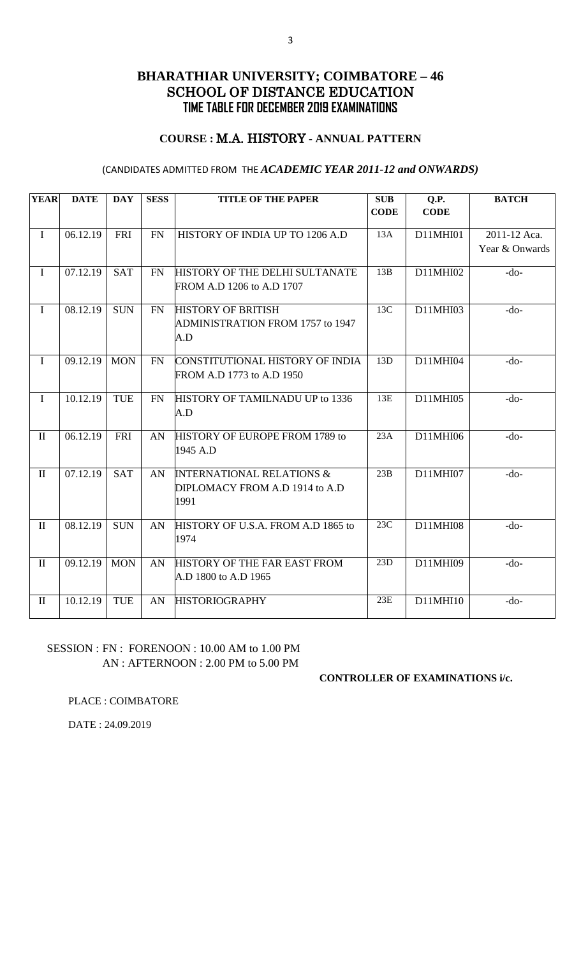### **COURSE :** M.A. HISTORY **- ANNUAL PATTERN**

### (CANDIDATES ADMITTED FROM THE *ACADEMIC YEAR 2011-12 and ONWARDS)*

| <b>YEAR</b>  | <b>DATE</b> | <b>DAY</b> | <b>SESS</b> | <b>TITLE OF THE PAPER</b>                                                      | <b>SUB</b><br><b>CODE</b> | Q.P.<br><b>CODE</b> | <b>BATCH</b>                   |
|--------------|-------------|------------|-------------|--------------------------------------------------------------------------------|---------------------------|---------------------|--------------------------------|
| $\mathbf I$  | 06.12.19    | <b>FRI</b> | FN          | HISTORY OF INDIA UP TO 1206 A.D                                                | 13A                       | D11MHI01            | 2011-12 Aca.<br>Year & Onwards |
| $\mathbf I$  | 07.12.19    | <b>SAT</b> | FN          | HISTORY OF THE DELHI SULTANATE<br>FROM A.D 1206 to A.D 1707                    | 13B                       | D11MHI02            | $-do-$                         |
| $\mathbf I$  | 08.12.19    | <b>SUN</b> | <b>FN</b>   | <b>HISTORY OF BRITISH</b><br>ADMINISTRATION FROM 1757 to 1947<br>A.D           | 13C                       | D11MHI03            | $-do-$                         |
| $\mathbf I$  | 09.12.19    | <b>MON</b> | FN          | CONSTITUTIONAL HISTORY OF INDIA<br>FROM A.D 1773 to A.D 1950                   | 13D                       | D11MHI04            | $-do-$                         |
| $\mathbf I$  | 10.12.19    | <b>TUE</b> | <b>FN</b>   | HISTORY OF TAMILNADU UP to 1336<br>A.D                                         | 13E                       | D11MHI05            | $-do-$                         |
| $\rm II$     | 06.12.19    | <b>FRI</b> | AN          | HISTORY OF EUROPE FROM 1789 to<br>1945 A.D                                     | 23A                       | D11MHI06            | $-do-$                         |
| $\mathbf{I}$ | 07.12.19    | <b>SAT</b> | AN          | <b>INTERNATIONAL RELATIONS &amp;</b><br>DIPLOMACY FROM A.D 1914 to A.D<br>1991 | 23B                       | D11MHI07            | $-do-$                         |
| $\mathbf{I}$ | 08.12.19    | <b>SUN</b> | AN          | HISTORY OF U.S.A. FROM A.D 1865 to<br>1974                                     | 23C                       | D11MHI08            | $-do-$                         |
| $\mathbf{I}$ | 09.12.19    | <b>MON</b> | AN          | HISTORY OF THE FAR EAST FROM<br>A.D 1800 to A.D 1965                           | 23D                       | D11MHI09            | $-do-$                         |
| $\mathbf{I}$ | 10.12.19    | <b>TUE</b> | AN          | <b>HISTORIOGRAPHY</b>                                                          | 23E                       | D11MHI10            | $-do-$                         |

## SESSION : FN : FORENOON : 10.00 AM to 1.00 PM AN : AFTERNOON : 2.00 PM to 5.00 PM

### **CONTROLLER OF EXAMINATIONS i/c.**

PLACE : COIMBATORE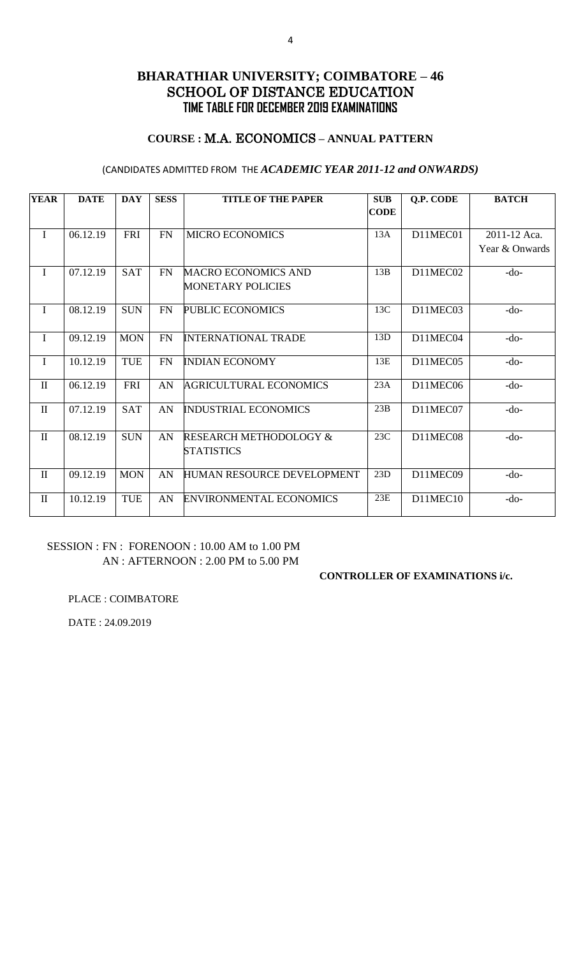## **COURSE :** M.A. ECONOMICS **– ANNUAL PATTERN**

### (CANDIDATES ADMITTED FROM THE *ACADEMIC YEAR 2011-12 and ONWARDS)*

| <b>YEAR</b>  | <b>DATE</b> | <b>DAY</b> | <b>SESS</b> | <b>TITLE OF THE PAPER</b>                              | <b>SUB</b>  | <b>Q.P. CODE</b> | <b>BATCH</b>   |
|--------------|-------------|------------|-------------|--------------------------------------------------------|-------------|------------------|----------------|
|              |             |            |             |                                                        | <b>CODE</b> |                  |                |
| $\mathbf I$  | 06.12.19    | <b>FRI</b> | <b>FN</b>   | <b>MICRO ECONOMICS</b>                                 | 13A         | D11MEC01         | 2011-12 Aca.   |
|              |             |            |             |                                                        |             |                  | Year & Onwards |
| $\mathbf I$  | 07.12.19    | <b>SAT</b> | <b>FN</b>   | <b>MACRO ECONOMICS AND</b>                             | 13B         | D11MEC02         | $-do-$         |
|              |             |            |             | <b>MONETARY POLICIES</b>                               |             |                  |                |
| $\bf{I}$     | 08.12.19    | <b>SUN</b> | FN          | PUBLIC ECONOMICS                                       | 13C         | D11MEC03         | $-do-$         |
| $\mathbf I$  | 09.12.19    | <b>MON</b> | <b>FN</b>   | <b>INTERNATIONAL TRADE</b>                             | 13D         | D11MEC04         | $-do-$         |
| $\mathbf I$  | 10.12.19    | <b>TUE</b> | <b>FN</b>   | <b>INDIAN ECONOMY</b>                                  | 13E         | D11MEC05         | $-do-$         |
| $\rm II$     | 06.12.19    | <b>FRI</b> | AN          | <b>AGRICULTURAL ECONOMICS</b>                          | 23A         | D11MEC06         | $-do-$         |
| $\rm II$     | 07.12.19    | <b>SAT</b> | AN          | <b>INDUSTRIAL ECONOMICS</b>                            | 23B         | D11MEC07         | $-do-$         |
| $\mathbf{I}$ | 08.12.19    | <b>SUN</b> | AN          | <b>RESEARCH METHODOLOGY &amp;</b><br><b>STATISTICS</b> | 23C         | D11MEC08         | $-do-$         |
| $\rm II$     | 09.12.19    | <b>MON</b> | AN          | <b>HUMAN RESOURCE DEVELOPMENT</b>                      | 23D         | D11MEC09         | $-do-$         |
| $\mathbf{I}$ | 10.12.19    | <b>TUE</b> | AN          | <b>ENVIRONMENTAL ECONOMICS</b>                         | 23E         | D11MEC10         | $-do-$         |

## SESSION : FN : FORENOON : 10.00 AM to 1.00 PM AN : AFTERNOON : 2.00 PM to 5.00 PM

### **CONTROLLER OF EXAMINATIONS i/c.**

PLACE : COIMBATORE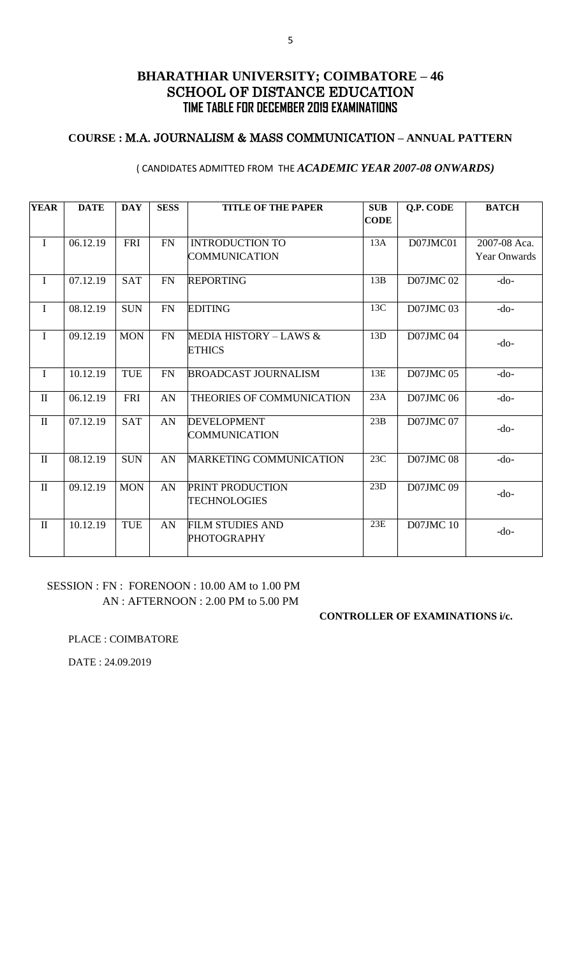## **COURSE :** M.A. JOURNALISM & MASS COMMUNICATION **– ANNUAL PATTERN**

#### ( CANDIDATES ADMITTED FROM THE *ACADEMIC YEAR 2007-08 ONWARDS)*

| <b>YEAR</b>  | <b>DATE</b> | <b>DAY</b> | <b>SESS</b> | <b>TITLE OF THE PAPER</b>                     | <b>SUB</b>  | <b>Q.P. CODE</b> | <b>BATCH</b>        |
|--------------|-------------|------------|-------------|-----------------------------------------------|-------------|------------------|---------------------|
|              |             |            |             |                                               | <b>CODE</b> |                  |                     |
| $\bf{I}$     | 06.12.19    | FRI        | FN          | <b>INTRODUCTION TO</b>                        | 13A         | D07JMC01         | 2007-08 Aca.        |
|              |             |            |             | <b>COMMUNICATION</b>                          |             |                  | <b>Year Onwards</b> |
| $\mathbf I$  | 07.12.19    | <b>SAT</b> | FN          | <b>REPORTING</b>                              | 13B         | <b>D07JMC02</b>  | $-do-$              |
| $\mathbf I$  | 08.12.19    | <b>SUN</b> | FN          | <b>EDITING</b>                                | 13C         | <b>D07JMC03</b>  | $-do-$              |
| $\mathbf I$  | 09.12.19    | <b>MON</b> | FN          | MEDIA HISTORY – LAWS &<br><b>ETHICS</b>       | 13D         | <b>D07JMC04</b>  | $-do-$              |
| $\mathbf I$  | 10.12.19    | <b>TUE</b> | <b>FN</b>   | <b>BROADCAST JOURNALISM</b>                   | 13E         | <b>D07JMC05</b>  | $-do-$              |
| $\mathbf{I}$ | 06.12.19    | FRI        | AN          | THEORIES OF COMMUNICATION                     | 23A         | <b>D07JMC06</b>  | $-do-$              |
| $\mathbf{I}$ | 07.12.19    | <b>SAT</b> | AN          | <b>DEVELOPMENT</b>                            | 23B         | <b>D07JMC07</b>  | $-do-$              |
|              |             |            |             | COMMUNICATION                                 |             |                  |                     |
| $\mathbf{I}$ | 08.12.19    | <b>SUN</b> | AN          | <b>MARKETING COMMUNICATION</b>                | 23C         | <b>D07JMC08</b>  | $-do-$              |
| $\mathbf{I}$ | 09.12.19    | <b>MON</b> | AN          | <b>PRINT PRODUCTION</b>                       | 23D         | <b>D07JMC09</b>  | $-do-$              |
|              |             |            |             | <b>TECHNOLOGIES</b>                           |             |                  |                     |
| $\mathbf{I}$ | 10.12.19    | <b>TUE</b> | AN          | <b>FILM STUDIES AND</b><br><b>PHOTOGRAPHY</b> | 23E         | <b>D07JMC10</b>  | $-do-$              |

### SESSION : FN : FORENOON : 10.00 AM to 1.00 PM AN : AFTERNOON : 2.00 PM to 5.00 PM

#### **CONTROLLER OF EXAMINATIONS i/c.**

PLACE : COIMBATORE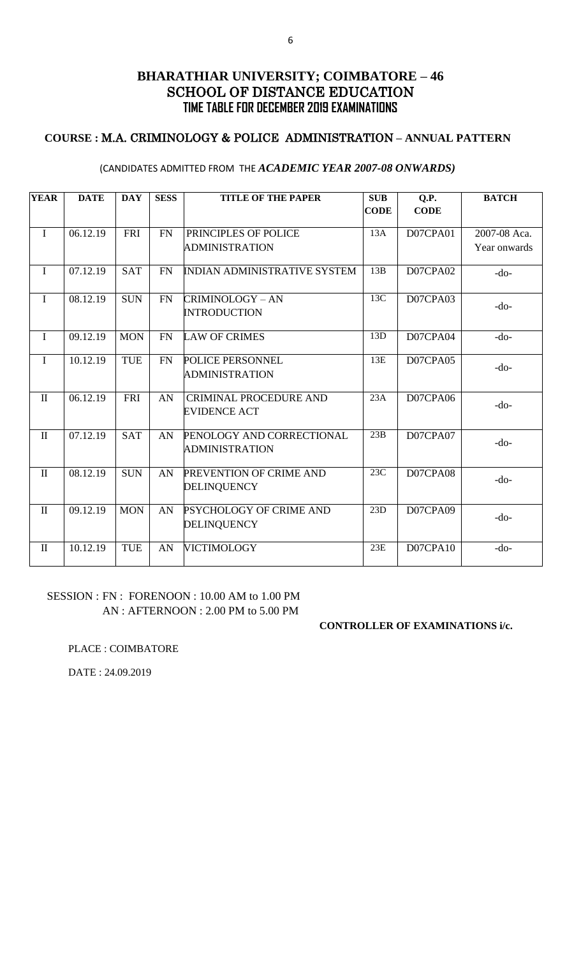## **COURSE :** M.A. CRIMINOLOGY & POLICE ADMINISTRATION **– ANNUAL PATTERN**

#### (CANDIDATES ADMITTED FROM THE *ACADEMIC YEAR 2007-08 ONWARDS)*

| <b>YEAR</b>  | <b>DATE</b> | <b>DAY</b> | <b>SESS</b> | <b>TITLE OF THE PAPER</b>                            | <b>SUB</b><br><b>CODE</b> | Q.P.<br><b>CODE</b> | <b>BATCH</b> |
|--------------|-------------|------------|-------------|------------------------------------------------------|---------------------------|---------------------|--------------|
| $\mathbf I$  | 06.12.19    | <b>FRI</b> | <b>FN</b>   | PRINCIPLES OF POLICE                                 | 13A                       | D07CPA01            | 2007-08 Aca. |
|              |             |            |             | <b>ADMINISTRATION</b>                                |                           |                     | Year onwards |
| $\mathbf I$  | 07.12.19    | <b>SAT</b> | <b>FN</b>   | <b>INDIAN ADMINISTRATIVE SYSTEM</b>                  | 13B                       | D07CPA02            | $-do-$       |
| $\mathbf I$  | 08.12.19    | <b>SUN</b> | FN          | CRIMINOLOGY – AN<br><b>INTRODUCTION</b>              | 13C                       | D07CPA03            | $-do-$       |
| $\mathbf I$  | 09.12.19    | <b>MON</b> | <b>FN</b>   | <b>LAW OF CRIMES</b>                                 | 13D                       | D07CPA04            | $-do-$       |
| $\mathbf I$  | 10.12.19    | TUE        | FN          | POLICE PERSONNEL<br><b>ADMINISTRATION</b>            | 13E                       | D07CPA05            | $-do-$       |
| $\mathbf{I}$ | 06.12.19    | <b>FRI</b> | AN          | <b>CRIMINAL PROCEDURE AND</b><br><b>EVIDENCE ACT</b> | 23A                       | D07CPA06            | $-do-$       |
| $\mathbf{I}$ | 07.12.19    | <b>SAT</b> | AN          | PENOLOGY AND CORRECTIONAL<br><b>ADMINISTRATION</b>   | 23B                       | D07CPA07            | $-do-$       |
| $\mathbf{I}$ | 08.12.19    | <b>SUN</b> | AN          | PREVENTION OF CRIME AND<br>DELINQUENCY               | 23C                       | D07CPA08            | $-do-$       |
| $\mathbf{I}$ | 09.12.19    | <b>MON</b> | AN          | PSYCHOLOGY OF CRIME AND<br><b>DELINQUENCY</b>        | 23D                       | D07CPA09            | $-do-$       |
| $\mathbf{I}$ | 10.12.19    | <b>TUE</b> | AN          | <b>VICTIMOLOGY</b>                                   | 23E                       | D07CPA10            | $-do-$       |

## SESSION : FN : FORENOON : 10.00 AM to 1.00 PM AN : AFTERNOON : 2.00 PM to 5.00 PM

#### **CONTROLLER OF EXAMINATIONS i/c.**

PLACE : COIMBATORE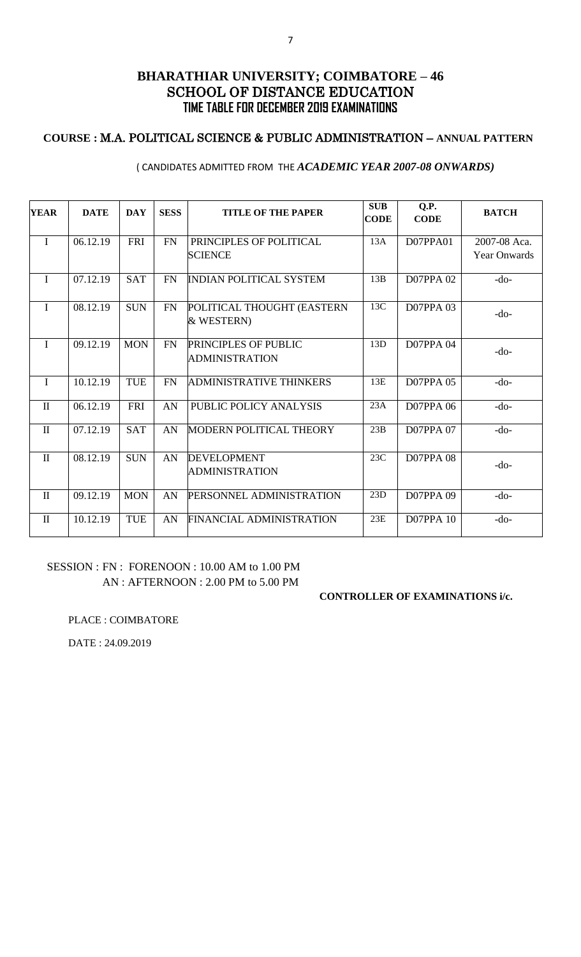## **COURSE :** M.A. POLITICAL SCIENCE & PUBLIC ADMINISTRATION – **ANNUAL PATTERN**

#### ( CANDIDATES ADMITTED FROM THE *ACADEMIC YEAR 2007-08 ONWARDS)*

| <b>YEAR</b>  | <b>DATE</b> | <b>DAY</b> | <b>SESS</b> | <b>TITLE OF THE PAPER</b>                     | <b>SUB</b><br><b>CODE</b> | Q.P.<br><b>CODE</b> | <b>BATCH</b>        |
|--------------|-------------|------------|-------------|-----------------------------------------------|---------------------------|---------------------|---------------------|
| $\mathbf{I}$ | 06.12.19    | <b>FRI</b> | <b>FN</b>   | PRINCIPLES OF POLITICAL                       | 13A                       | D07PPA01            | 2007-08 Aca.        |
|              |             |            |             | <b>SCIENCE</b>                                |                           |                     | <b>Year Onwards</b> |
| $\mathbf I$  | 07.12.19    | <b>SAT</b> | <b>FN</b>   | <b>INDIAN POLITICAL SYSTEM</b>                | 13B                       | <b>D07PPA 02</b>    | $-do-$              |
| $\mathbf{I}$ | 08.12.19    | <b>SUN</b> | FN          | POLITICAL THOUGHT (EASTERN<br>& WESTERN)      | 13C                       | <b>D07PPA 03</b>    | $-do-$              |
| $\mathbf{I}$ | 09.12.19    | <b>MON</b> | FN          | PRINCIPLES OF PUBLIC<br><b>ADMINISTRATION</b> | 13D                       | <b>D07PPA 04</b>    | $-do-$              |
| $\mathbf{I}$ | 10.12.19    | <b>TUE</b> | <b>FN</b>   | <b>ADMINISTRATIVE THINKERS</b>                | 13E                       | <b>D07PPA 05</b>    | $-do-$              |
| $\mathbf{I}$ | 06.12.19    | <b>FRI</b> | AN          | PUBLIC POLICY ANALYSIS                        | 23A                       | <b>D07PPA 06</b>    | $-do-$              |
| $\mathbf{I}$ | 07.12.19    | <b>SAT</b> | AN          | MODERN POLITICAL THEORY                       | 23B                       | <b>D07PPA 07</b>    | $-do-$              |
| $\mathbf{I}$ | 08.12.19    | <b>SUN</b> | AN          | <b>DEVELOPMENT</b><br><b>ADMINISTRATION</b>   | 23C                       | <b>D07PPA 08</b>    | $-do-$              |
| $\mathbf{I}$ | 09.12.19    | <b>MON</b> | AN          | PERSONNEL ADMINISTRATION                      | 23D                       | <b>D07PPA 09</b>    | $-do-$              |
| $\mathbf{I}$ | 10.12.19    | <b>TUE</b> | AN          | <b>FINANCIAL ADMINISTRATION</b>               | 23E                       | <b>D07PPA 10</b>    | $-do-$              |

## SESSION : FN : FORENOON : 10.00 AM to 1.00 PM AN : AFTERNOON : 2.00 PM to 5.00 PM

#### **CONTROLLER OF EXAMINATIONS i/c.**

#### PLACE : COIMBATORE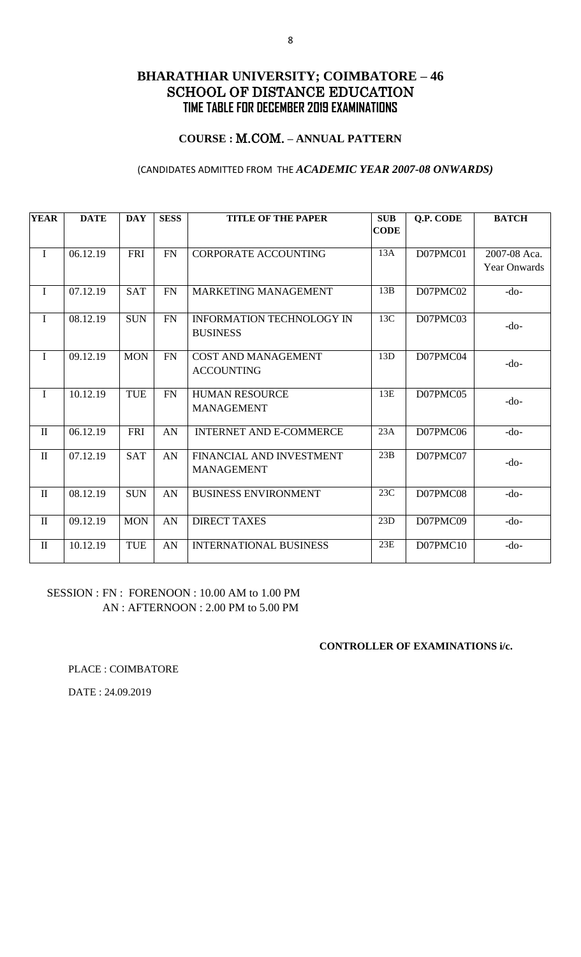## **COURSE :** M.COM. **– ANNUAL PATTERN**

### (CANDIDATES ADMITTED FROM THE *ACADEMIC YEAR 2007-08 ONWARDS)*

| <b>YEAR</b>  | <b>DATE</b> | <b>DAY</b> | <b>SESS</b> | <b>TITLE OF THE PAPER</b>                           | <b>SUB</b>  | <b>Q.P. CODE</b> | <b>BATCH</b>                        |
|--------------|-------------|------------|-------------|-----------------------------------------------------|-------------|------------------|-------------------------------------|
|              |             |            |             |                                                     | <b>CODE</b> |                  |                                     |
| $\mathbf I$  | 06.12.19    | <b>FRI</b> | <b>FN</b>   | <b>CORPORATE ACCOUNTING</b>                         | 13A         | D07PMC01         | 2007-08 Aca.<br><b>Year Onwards</b> |
| $\mathbf I$  | 07.12.19    | <b>SAT</b> | <b>FN</b>   | MARKETING MANAGEMENT                                | 13B         | D07PMC02         | $-do-$                              |
| $\mathbf I$  | 08.12.19    | <b>SUN</b> | <b>FN</b>   | <b>INFORMATION TECHNOLOGY IN</b><br><b>BUSINESS</b> | 13C         | D07PMC03         | $-do-$                              |
| I            | 09.12.19    | <b>MON</b> | <b>FN</b>   | <b>COST AND MANAGEMENT</b><br><b>ACCOUNTING</b>     | 13D         | D07PMC04         | $-do-$                              |
| $\mathbf I$  | 10.12.19    | <b>TUE</b> | FN          | <b>HUMAN RESOURCE</b><br><b>MANAGEMENT</b>          | 13E         | D07PMC05         | $-do-$                              |
| $\mathbf{I}$ | 06.12.19    | <b>FRI</b> | AN          | <b>INTERNET AND E-COMMERCE</b>                      | 23A         | D07PMC06         | $-do-$                              |
| $\rm II$     | 07.12.19    | <b>SAT</b> | AN          | FINANCIAL AND INVESTMENT<br><b>MANAGEMENT</b>       | 23B         | D07PMC07         | $-do-$                              |
| $\mathbf{I}$ | 08.12.19    | <b>SUN</b> | AN          | <b>BUSINESS ENVIRONMENT</b>                         | 23C         | D07PMC08         | $-do-$                              |
| $\mathbf{I}$ | 09.12.19    | <b>MON</b> | AN          | <b>DIRECT TAXES</b>                                 | 23D         | D07PMC09         | $-do-$                              |
| $\rm II$     | 10.12.19    | <b>TUE</b> | AN          | <b>INTERNATIONAL BUSINESS</b>                       | 23E         | D07PMC10         | $-do-$                              |

### SESSION : FN : FORENOON : 10.00 AM to 1.00 PM AN : AFTERNOON : 2.00 PM to 5.00 PM

#### **CONTROLLER OF EXAMINATIONS i/c.**

PLACE : COIMBATORE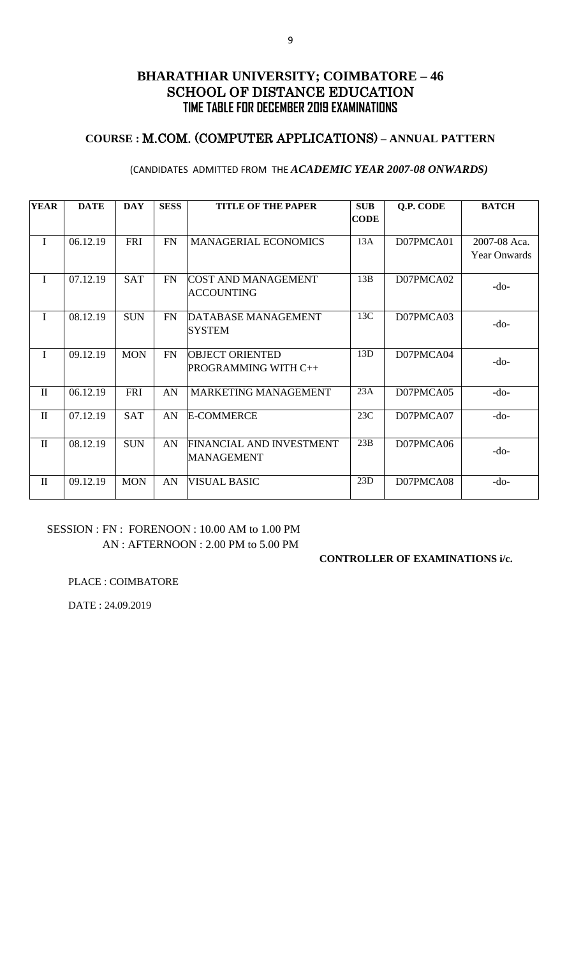## **COURSE :** M.COM. (COMPUTER APPLICATIONS) **– ANNUAL PATTERN**

### (CANDIDATES ADMITTED FROM THE *ACADEMIC YEAR 2007-08 ONWARDS)*

| <b>YEAR</b>  | <b>DATE</b> | <b>DAY</b> | <b>SESS</b> | <b>TITLE OF THE PAPER</b>   | <b>SUB</b>  | Q.P. CODE | <b>BATCH</b>        |
|--------------|-------------|------------|-------------|-----------------------------|-------------|-----------|---------------------|
|              |             |            |             |                             | <b>CODE</b> |           |                     |
| I            | 06.12.19    | <b>FRI</b> | <b>FN</b>   | <b>MANAGERIAL ECONOMICS</b> | 13A         | D07PMCA01 | 2007-08 Aca.        |
|              |             |            |             |                             |             |           | <b>Year Onwards</b> |
| T            | 07.12.19    | <b>SAT</b> | FN          | <b>COST AND MANAGEMENT</b>  | 13B         | D07PMCA02 | $-do-$              |
|              |             |            |             | <b>ACCOUNTING</b>           |             |           |                     |
| I            | 08.12.19    | <b>SUN</b> | <b>FN</b>   | DATABASE MANAGEMENT         | 13C         | D07PMCA03 | $-do-$              |
|              |             |            |             | <b>SYSTEM</b>               |             |           |                     |
| I            | 09.12.19    | <b>MON</b> | <b>FN</b>   | <b>OBJECT ORIENTED</b>      | 13D         | D07PMCA04 | -do-                |
|              |             |            |             | PROGRAMMING WITH C++        |             |           |                     |
| $\mathbf{I}$ | 06.12.19    | <b>FRI</b> | AN          | MARKETING MANAGEMENT        | 23A         | D07PMCA05 | $-do-$              |
| $\mathbf{I}$ | 07.12.19    | <b>SAT</b> | AN          | <b>E-COMMERCE</b>           | 23C         | D07PMCA07 | $-do-$              |
|              |             |            |             |                             |             |           |                     |
| $\mathbf{I}$ | 08.12.19    | <b>SUN</b> | AN          | FINANCIAL AND INVESTMENT    | 23B         | D07PMCA06 | -do-                |
|              |             |            |             | <b>MANAGEMENT</b>           |             |           |                     |
| $\mathbf{I}$ | 09.12.19    | <b>MON</b> | AN          | <b>VISUAL BASIC</b>         | 23D         | D07PMCA08 | $-do-$              |
|              |             |            |             |                             |             |           |                     |

## SESSION : FN : FORENOON : 10.00 AM to 1.00 PM AN : AFTERNOON : 2.00 PM to 5.00 PM

#### **CONTROLLER OF EXAMINATIONS i/c.**

PLACE : COIMBATORE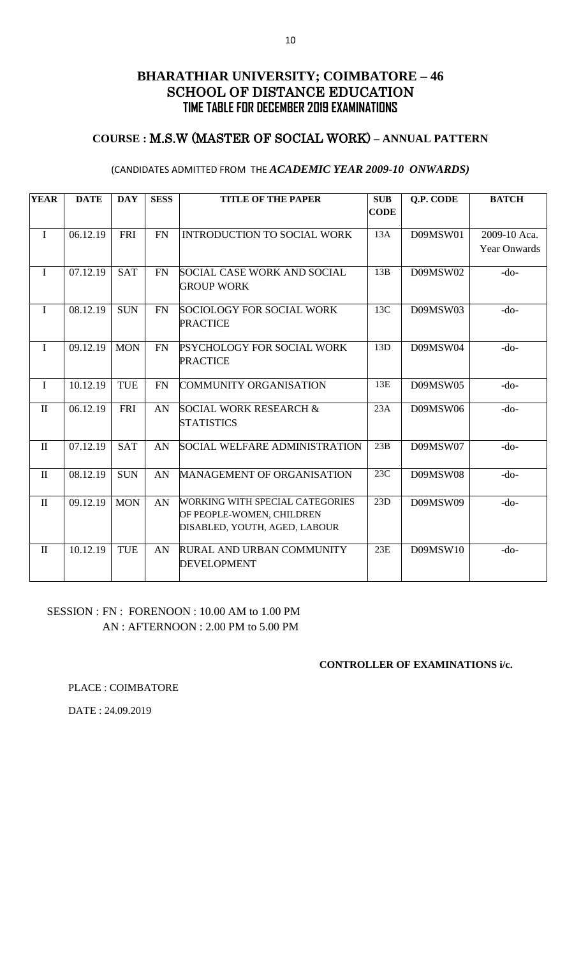## **COURSE :** M.S.W (MASTER OF SOCIAL WORK) **– ANNUAL PATTERN**

#### (CANDIDATES ADMITTED FROM THE *ACADEMIC YEAR 2009-10 ONWARDS)*

| <b>YEAR</b>  | <b>DATE</b> | <b>DAY</b> | <b>SESS</b> | <b>TITLE OF THE PAPER</b>                                                                            | <b>SUB</b><br><b>CODE</b> | <b>Q.P. CODE</b> | <b>BATCH</b>                        |
|--------------|-------------|------------|-------------|------------------------------------------------------------------------------------------------------|---------------------------|------------------|-------------------------------------|
| $\mathbf I$  | 06.12.19    | <b>FRI</b> | <b>FN</b>   | <b>INTRODUCTION TO SOCIAL WORK</b>                                                                   | 13A                       | D09MSW01         | 2009-10 Aca.<br><b>Year Onwards</b> |
| $\mathbf I$  | 07.12.19    | <b>SAT</b> | <b>FN</b>   | <b>SOCIAL CASE WORK AND SOCIAL</b><br><b>GROUP WORK</b>                                              | 13B                       | D09MSW02         | $-do-$                              |
| $\mathbf I$  | 08.12.19    | <b>SUN</b> | FN          | SOCIOLOGY FOR SOCIAL WORK<br><b>PRACTICE</b>                                                         | 13C                       | D09MSW03         | $-do-$                              |
| $\mathbf I$  | 09.12.19    | <b>MON</b> | <b>FN</b>   | <b>PSYCHOLOGY FOR SOCIAL WORK</b><br><b>PRACTICE</b>                                                 | 13D                       | D09MSW04         | $-do-$                              |
| I            | 10.12.19    | <b>TUE</b> | <b>FN</b>   | <b>COMMUNITY ORGANISATION</b>                                                                        | 13E                       | D09MSW05         | $-do-$                              |
| $\mathbf{I}$ | 06.12.19    | <b>FRI</b> | AN          | <b>SOCIAL WORK RESEARCH &amp;</b><br><b>STATISTICS</b>                                               | 23A                       | D09MSW06         | $-do-$                              |
| $\mathbf{I}$ | 07.12.19    | <b>SAT</b> | AN          | <b>SOCIAL WELFARE ADMINISTRATION</b>                                                                 | 23B                       | D09MSW07         | $-do-$                              |
| $\mathbf{I}$ | 08.12.19    | <b>SUN</b> | AN          | MANAGEMENT OF ORGANISATION                                                                           | 23C                       | D09MSW08         | $-do-$                              |
| $\mathbf{I}$ | 09.12.19    | <b>MON</b> | AN          | <b>WORKING WITH SPECIAL CATEGORIES</b><br>OF PEOPLE-WOMEN, CHILDREN<br>DISABLED, YOUTH, AGED, LABOUR | 23D                       | D09MSW09         | $-do-$                              |
| $\mathbf{I}$ | 10.12.19    | <b>TUE</b> | AN          | RURAL AND URBAN COMMUNITY<br><b>DEVELOPMENT</b>                                                      | 23E                       | D09MSW10         | $-do-$                              |

### SESSION : FN : FORENOON : 10.00 AM to 1.00 PM AN : AFTERNOON : 2.00 PM to 5.00 PM

#### **CONTROLLER OF EXAMINATIONS i/c.**

PLACE : COIMBATORE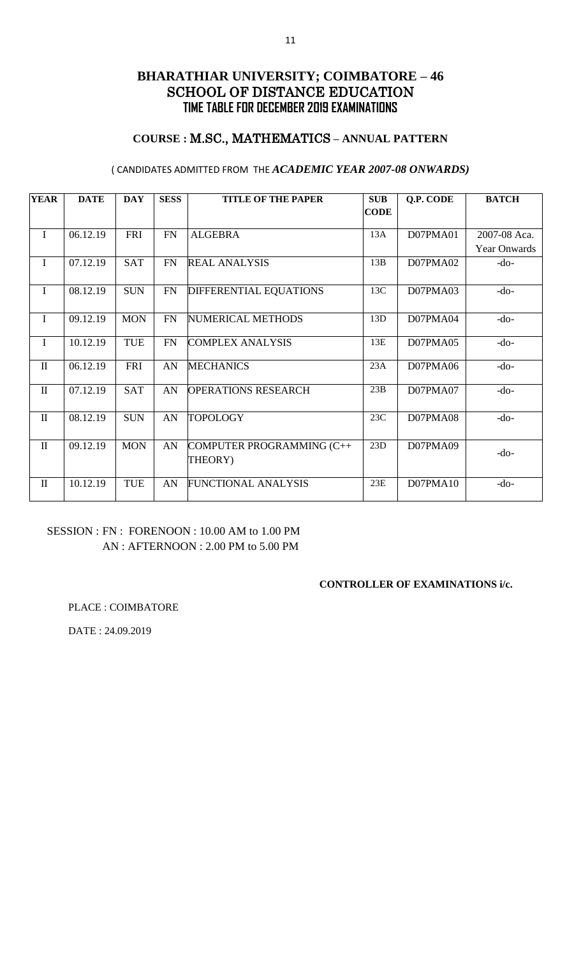## **COURSE :** M.SC., MATHEMATICS **– ANNUAL PATTERN**

### ( CANDIDATES ADMITTED FROM THE *ACADEMIC YEAR 2007-08 ONWARDS)*

| <b>YEAR</b>  | <b>DATE</b> | <b>DAY</b> | <b>SESS</b> | <b>TITLE OF THE PAPER</b>            | <b>SUB</b>  | Q.P. CODE | <b>BATCH</b> |
|--------------|-------------|------------|-------------|--------------------------------------|-------------|-----------|--------------|
|              |             |            |             |                                      | <b>CODE</b> |           |              |
| $\mathbf I$  | 06.12.19    | <b>FRI</b> | <b>FN</b>   | <b>ALGEBRA</b>                       | 13A         | D07PMA01  | 2007-08 Aca. |
|              |             |            |             |                                      |             |           | Year Onwards |
| $\mathbf I$  | 07.12.19    | <b>SAT</b> | <b>FN</b>   | <b>REAL ANALYSIS</b>                 | 13B         | D07PMA02  | $-do-$       |
| $\mathbf I$  | 08.12.19    | <b>SUN</b> | FN          | <b>DIFFERENTIAL EQUATIONS</b>        | 13C         | D07PMA03  | $-do-$       |
| $\mathbf I$  | 09.12.19    | <b>MON</b> | <b>FN</b>   | NUMERICAL METHODS                    | 13D         | D07PMA04  | $-do-$       |
| $\mathbf I$  | 10.12.19    | <b>TUE</b> | <b>FN</b>   | <b>COMPLEX ANALYSIS</b>              | 13E         | D07PMA05  | $-do-$       |
| $\mathbf{I}$ | 06.12.19    | <b>FRI</b> | AN          | <b>MECHANICS</b>                     | 23A         | D07PMA06  | $-do-$       |
| $\mathbf{I}$ | 07.12.19    | <b>SAT</b> | AN          | <b>OPERATIONS RESEARCH</b>           | 23B         | D07PMA07  | $-do-$       |
| $\mathbf{I}$ | 08.12.19    | <b>SUN</b> | AN          | <b>TOPOLOGY</b>                      | 23C         | D07PMA08  | $-do-$       |
| $\mathbf{I}$ | 09.12.19    | <b>MON</b> | AN          | COMPUTER PROGRAMMING (C++<br>THEORY) | 23D         | D07PMA09  | $-do-$       |
| $\mathbf{I}$ | 10.12.19    | <b>TUE</b> | AN          | <b>FUNCTIONAL ANALYSIS</b>           | 23E         | D07PMA10  | $-do-$       |

## SESSION : FN : FORENOON : 10.00 AM to 1.00 PM AN : AFTERNOON : 2.00 PM to 5.00 PM

### **CONTROLLER OF EXAMINATIONS i/c.**

PLACE : COIMBATORE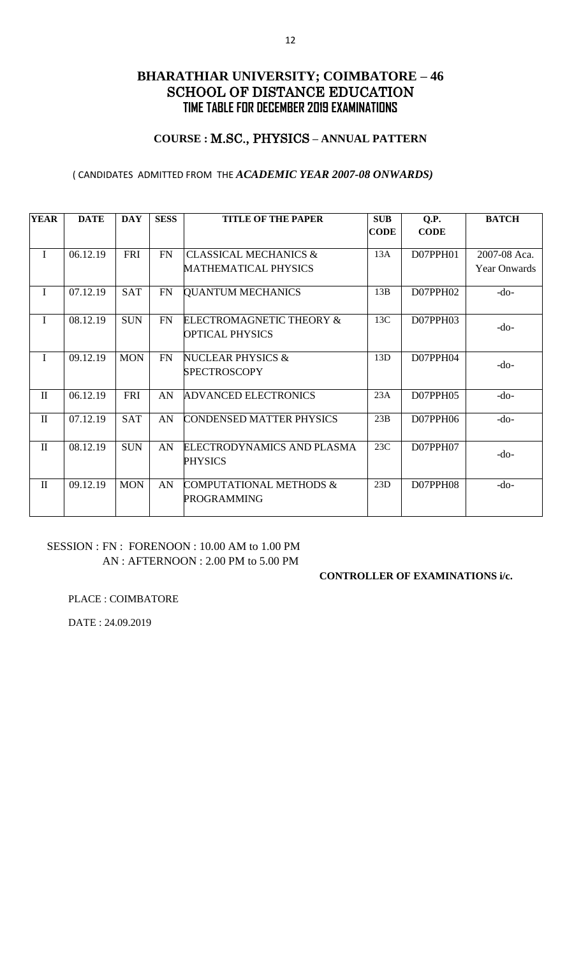## **COURSE :** M.SC., PHYSICS **– ANNUAL PATTERN**

### ( CANDIDATES ADMITTED FROM THE *ACADEMIC YEAR 2007-08 ONWARDS)*

| <b>YEAR</b>  | <b>DATE</b> | <b>DAY</b> | <b>SESS</b> | <b>TITLE OF THE PAPER</b>                                       | <b>SUB</b><br><b>CODE</b> | Q.P.<br><b>CODE</b> | <b>BATCH</b>                        |
|--------------|-------------|------------|-------------|-----------------------------------------------------------------|---------------------------|---------------------|-------------------------------------|
| I            | 06.12.19    | FRI        | <b>FN</b>   | <b>CLASSICAL MECHANICS &amp;</b><br><b>MATHEMATICAL PHYSICS</b> | 13A                       | D07PPH01            | 2007-08 Aca.<br><b>Year Onwards</b> |
| I            | 07.12.19    | <b>SAT</b> | <b>FN</b>   | <b>QUANTUM MECHANICS</b>                                        | 13B                       | D07PPH02            | $-do-$                              |
| I            | 08.12.19    | <b>SUN</b> | <b>FN</b>   | ELECTROMAGNETIC THEORY &<br>OPTICAL PHYSICS                     | 13C                       | D07PPH03            | -do-                                |
| T            | 09.12.19    | <b>MON</b> | <b>FN</b>   | NUCLEAR PHYSICS $\&$<br><b>SPECTROSCOPY</b>                     | 13D                       | $D07$ PPH $04$      | -do-                                |
| $\mathbf{I}$ | 06.12.19    | <b>FRI</b> | AN          | <b>ADVANCED ELECTRONICS</b>                                     | 23A                       | D07PPH05            | $-do-$                              |
| $\mathbf{I}$ | 07.12.19    | <b>SAT</b> | AN          | CONDENSED MATTER PHYSICS                                        | 23B                       | D07PPH06            | $-do-$                              |
| $\mathbf{I}$ | 08.12.19    | <b>SUN</b> | AN          | ELECTRODYNAMICS AND PLASMA<br><b>PHYSICS</b>                    | 23C                       | D07PPH07            | -do-                                |
| $\mathbf{I}$ | 09.12.19    | <b>MON</b> | AN          | COMPUTATIONAL METHODS &<br><b>PROGRAMMING</b>                   | 23D                       | D07PPH08            | $-do-$                              |

## SESSION : FN : FORENOON : 10.00 AM to 1.00 PM AN : AFTERNOON : 2.00 PM to 5.00 PM

**CONTROLLER OF EXAMINATIONS i/c.**

PLACE : COIMBATORE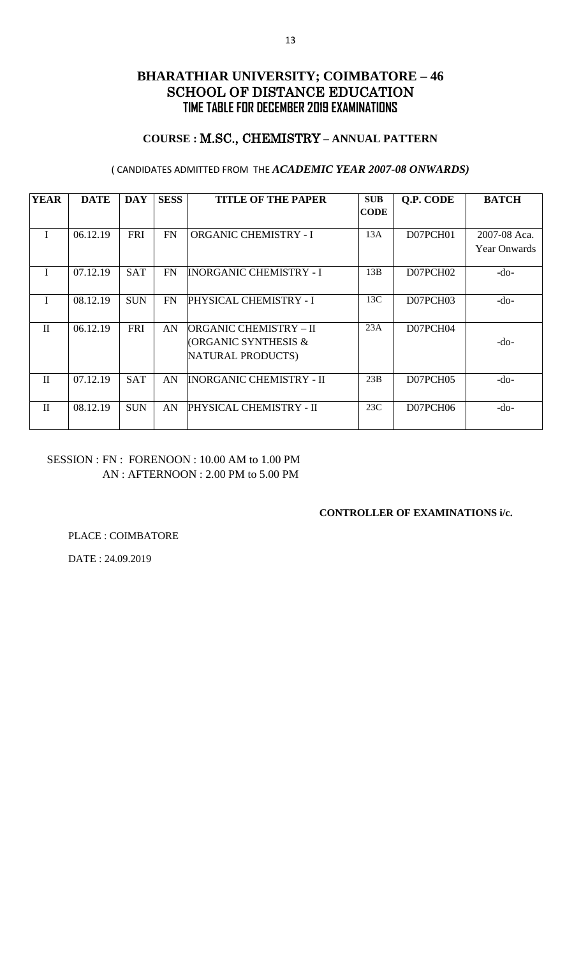## **COURSE :** M.SC., CHEMISTRY **– ANNUAL PATTERN**

### ( CANDIDATES ADMITTED FROM THE *ACADEMIC YEAR 2007-08 ONWARDS)*

| <b>YEAR</b>  | <b>DATE</b> | <b>DAY</b> | <b>SESS</b> | <b>TITLE OF THE PAPER</b>       | <b>SUB</b>  | Q.P. CODE | <b>BATCH</b>        |
|--------------|-------------|------------|-------------|---------------------------------|-------------|-----------|---------------------|
|              |             |            |             |                                 | <b>CODE</b> |           |                     |
|              |             |            |             |                                 |             |           |                     |
| $\mathbf{I}$ | 06.12.19    | <b>FRI</b> | <b>FN</b>   | <b>ORGANIC CHEMISTRY - I</b>    | 13A         | D07PCH01  | 2007-08 Aca.        |
|              |             |            |             |                                 |             |           | <b>Year Onwards</b> |
|              |             |            |             |                                 |             |           |                     |
| $\mathbf{I}$ | 07.12.19    | <b>SAT</b> | <b>FN</b>   | <b>INORGANIC CHEMISTRY - I</b>  | 13B         | D07PCH02  | $-do-$              |
|              |             |            |             |                                 |             |           |                     |
| $\mathbf{I}$ | 08.12.19    | <b>SUN</b> | <b>FN</b>   | PHYSICAL CHEMISTRY - I          | 13C         | D07PCH03  | -do-                |
|              |             |            |             |                                 |             |           |                     |
| $\mathbf{H}$ | 06.12.19    | <b>FRI</b> | AN          | ORGANIC CHEMISTRY – II          | 23A         | D07PCH04  |                     |
|              |             |            |             | <b>(ORGANIC SYNTHESIS &amp;</b> |             |           | -do-                |
|              |             |            |             |                                 |             |           |                     |
|              |             |            |             | NATURAL PRODUCTS)               |             |           |                     |
|              |             |            |             |                                 |             |           |                     |
| $\mathbf{I}$ | 07.12.19    | <b>SAT</b> | AN          | INORGANIC CHEMISTRY - II        | 23B         | D07PCH05  | -do-                |
|              |             |            |             |                                 |             |           |                     |
| $\mathbf{I}$ | 08.12.19    | <b>SUN</b> | AN          | PHYSICAL CHEMISTRY - II         | 23C         | D07PCH06  | -do-                |
|              |             |            |             |                                 |             |           |                     |

## SESSION : FN : FORENOON : 10.00 AM to 1.00 PM AN : AFTERNOON : 2.00 PM to 5.00 PM

### **CONTROLLER OF EXAMINATIONS i/c.**

PLACE : COIMBATORE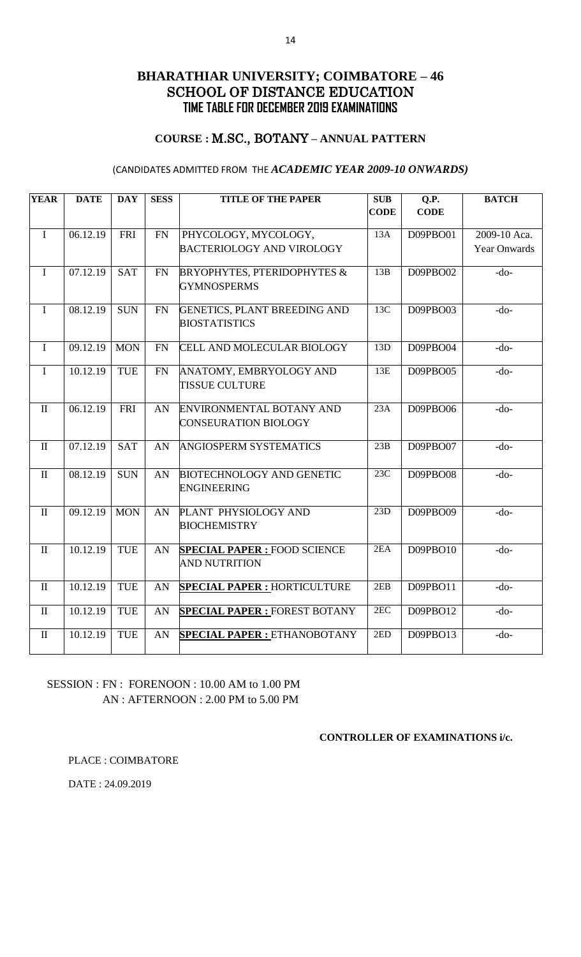### **COURSE :** M.SC., BOTANY **– ANNUAL PATTERN**

### (CANDIDATES ADMITTED FROM THE *ACADEMIC YEAR 2009-10 ONWARDS)*

| <b>YEAR</b>  | <b>DATE</b> | <b>DAY</b> | <b>SESS</b> | <b>TITLE OF THE PAPER</b>                                   | <b>SUB</b><br><b>CODE</b> | Q.P.<br><b>CODE</b> | <b>BATCH</b>        |
|--------------|-------------|------------|-------------|-------------------------------------------------------------|---------------------------|---------------------|---------------------|
|              |             |            |             |                                                             |                           |                     |                     |
| $\mathbf I$  | 06.12.19    | FRI        | FN          | PHYCOLOGY, MYCOLOGY,                                        | 13A                       | D09PBO01            | 2009-10 Aca.        |
|              |             |            |             | <b>BACTERIOLOGY AND VIROLOGY</b>                            |                           |                     | <b>Year Onwards</b> |
| $\bf I$      | 07.12.19    | <b>SAT</b> | <b>FN</b>   | <b>BRYOPHYTES, PTERIDOPHYTES &amp;</b>                      | 13B                       | D09PBO02            | $-do-$              |
|              |             |            |             | <b>GYMNOSPERMS</b>                                          |                           |                     |                     |
| $\mathbf I$  | 08.12.19    | <b>SUN</b> | FN          | <b>GENETICS, PLANT BREEDING AND</b><br><b>BIOSTATISTICS</b> | 13C                       | D09PBO03            | $-do-$              |
|              |             |            |             |                                                             |                           |                     |                     |
| $\mathbf I$  | 09.12.19    | <b>MON</b> | FN          | CELL AND MOLECULAR BIOLOGY                                  | 13D                       | D09PBO04            | $-do-$              |
| $\mathbf I$  | 10.12.19    | TUE        | <b>FN</b>   | ANATOMY, EMBRYOLOGY AND                                     | 13E                       | D09PBO05            | $-do-$              |
|              |             |            |             | <b>TISSUE CULTURE</b>                                       |                           |                     |                     |
| $\mathbf{I}$ | 06.12.19    | <b>FRI</b> | AN          | ENVIRONMENTAL BOTANY AND                                    | 23A                       | D09PBO06            | $-do-$              |
|              |             |            |             | <b>CONSEURATION BIOLOGY</b>                                 |                           |                     |                     |
| $\mathbf{I}$ | 07.12.19    | <b>SAT</b> | AN          | ANGIOSPERM SYSTEMATICS                                      | 23B                       | D09PBO07            | $-do-$              |
| $\rm II$     | 08.12.19    | <b>SUN</b> | AN          | <b>BIOTECHNOLOGY AND GENETIC</b>                            | $\overline{23}C$          | D09PBO08            | $-do-$              |
|              |             |            |             | <b>ENGINEERING</b>                                          |                           |                     |                     |
| $\mathbf{I}$ | 09.12.19    | <b>MON</b> | AN          | PLANT PHYSIOLOGY AND                                        | 23D                       | D09PBO09            | $-do-$              |
|              |             |            |             | <b>BIOCHEMISTRY</b>                                         |                           |                     |                     |
| $\rm II$     | 10.12.19    | TUE        | AN          | <b>SPECIAL PAPER : FOOD SCIENCE</b>                         | 2EA                       | D09PBO10            | $-do-$              |
|              |             |            |             | <b>AND NUTRITION</b>                                        |                           |                     |                     |
| $\mathbf{I}$ | 10.12.19    | <b>TUE</b> | AN          | <b>SPECIAL PAPER: HORTICULTURE</b>                          | 2EB                       | D09PBO11            | $-do-$              |
| $\rm II$     | 10.12.19    | <b>TUE</b> | AN          | <b>SPECIAL PAPER : FOREST BOTANY</b>                        | 2EC                       | D09PBO12            | $-do-$              |
| $\mathbf{I}$ | 10.12.19    | TUE        | AN          | <b>SPECIAL PAPER: ETHANOBOTANY</b>                          | 2ED                       | D09PBO13            | $-do-$              |
|              |             |            |             |                                                             |                           |                     |                     |

## SESSION : FN : FORENOON : 10.00 AM to 1.00 PM AN : AFTERNOON : 2.00 PM to 5.00 PM

#### **CONTROLLER OF EXAMINATIONS i/c.**

PLACE : COIMBATORE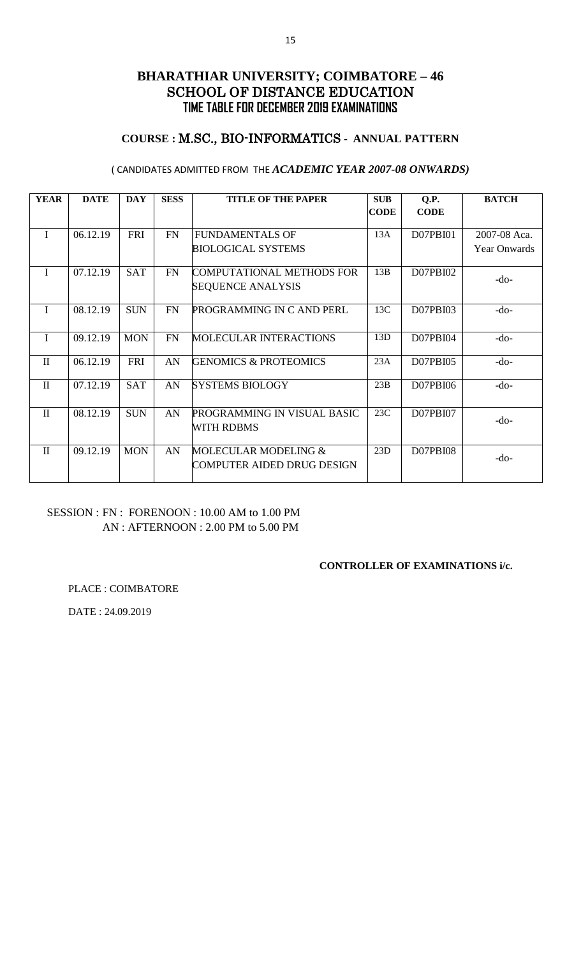## **COURSE :** M.SC., BIO-INFORMATICS **- ANNUAL PATTERN**

### ( CANDIDATES ADMITTED FROM THE *ACADEMIC YEAR 2007-08 ONWARDS)*

| <b>YEAR</b>  | <b>DATE</b> | <b>DAY</b> | <b>SESS</b> | <b>TITLE OF THE PAPER</b>                                    | <b>SUB</b>  | Q.P.            | <b>BATCH</b>        |
|--------------|-------------|------------|-------------|--------------------------------------------------------------|-------------|-----------------|---------------------|
|              |             |            |             |                                                              | <b>CODE</b> | <b>CODE</b>     |                     |
| I            | 06.12.19    | <b>FRI</b> | <b>FN</b>   | <b>FUNDAMENTALS OF</b>                                       | 13A         | D07PBI01        | 2007-08 Aca.        |
|              |             |            |             | <b>BIOLOGICAL SYSTEMS</b>                                    |             |                 | <b>Year Onwards</b> |
| $\mathbf I$  | 07.12.19    | <b>SAT</b> | <b>FN</b>   | <b>COMPUTATIONAL METHODS FOR</b><br><b>SEQUENCE ANALYSIS</b> | 13B         | D07PBI02        | -do-                |
| T            | 08.12.19    | <b>SUN</b> | <b>FN</b>   | PROGRAMMING IN C AND PERL                                    | 13C         | D07PBI03        | -do-                |
| $\mathbf I$  | 09.12.19    | <b>MON</b> | FN          | <b>MOLECULAR INTERACTIONS</b>                                | 13D         | D07PBI04        | $-do-$              |
| $\mathbf{I}$ | 06.12.19    | <b>FRI</b> | AN          | <b>GENOMICS &amp; PROTEOMICS</b>                             | 23A         | D07PBI05        | $-do-$              |
| $\mathbf{I}$ | 07.12.19    | <b>SAT</b> | AN          | <b>SYSTEMS BIOLOGY</b>                                       | 23B         | D07PBI06        | $-do-$              |
| $\mathbf{I}$ | 08.12.19    | <b>SUN</b> | AN          | PROGRAMMING IN VISUAL BASIC<br><b>WITH RDBMS</b>             | 23C         | D07PBI07        | $-do-$              |
| $\mathbf{I}$ | 09.12.19    | <b>MON</b> | AN          | MOLECULAR MODELING &<br>COMPUTER AIDED DRUG DESIGN           | 23D         | <b>D07PBI08</b> | -do-                |

## SESSION : FN : FORENOON : 10.00 AM to 1.00 PM AN : AFTERNOON : 2.00 PM to 5.00 PM

#### **CONTROLLER OF EXAMINATIONS i/c.**

PLACE : COIMBATORE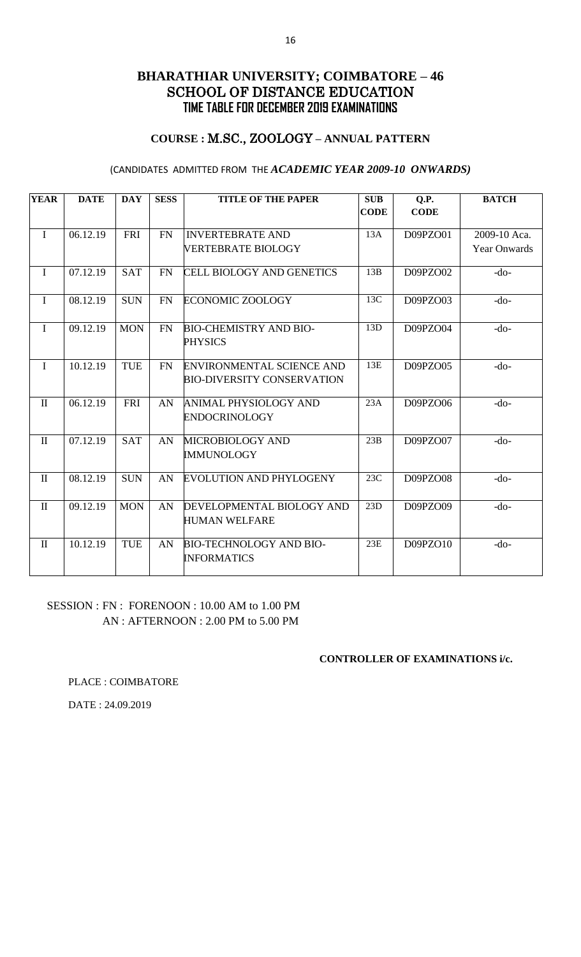## **COURSE :** M.SC., ZOOLOGY **– ANNUAL PATTERN**

### (CANDIDATES ADMITTED FROM THE *ACADEMIC YEAR 2009-10 ONWARDS)*

| <b>YEAR</b>  | <b>DATE</b> | <b>DAY</b> | <b>SESS</b> | <b>TITLE OF THE PAPER</b>                                             | <b>SUB</b><br><b>CODE</b> | Q.P.<br><b>CODE</b> | <b>BATCH</b>                        |
|--------------|-------------|------------|-------------|-----------------------------------------------------------------------|---------------------------|---------------------|-------------------------------------|
| $\mathbf I$  | 06.12.19    | <b>FRI</b> | <b>FN</b>   | <b>INVERTEBRATE AND</b><br>VERTEBRATE BIOLOGY                         | 13A                       | D09PZO01            | 2009-10 Aca.<br><b>Year Onwards</b> |
| $\mathbf I$  | 07.12.19    | <b>SAT</b> | FN          | <b>CELL BIOLOGY AND GENETICS</b>                                      | 13B                       | D09PZO02            | $-do-$                              |
| $\mathbf{I}$ | 08.12.19    | <b>SUN</b> | <b>FN</b>   | ECONOMIC ZOOLOGY                                                      | 13C                       | D09PZO03            | $-do-$                              |
| $\mathbf I$  | 09.12.19    | <b>MON</b> | <b>FN</b>   | <b>BIO-CHEMISTRY AND BIO-</b><br><b>PHYSICS</b>                       | 13D                       | D09PZO04            | $-do-$                              |
| $\mathbf I$  | 10.12.19    | <b>TUE</b> | FN          | <b>ENVIRONMENTAL SCIENCE AND</b><br><b>BIO-DIVERSITY CONSERVATION</b> | 13E                       | D09PZO05            | $-do-$                              |
| $\mathbf{I}$ | 06.12.19    | <b>FRI</b> | AN          | ANIMAL PHYSIOLOGY AND<br><b>ENDOCRINOLOGY</b>                         | 23A                       | D09PZO06            | $-do-$                              |
| $\mathbf{I}$ | 07.12.19    | <b>SAT</b> | AN          | MICROBIOLOGY AND<br><b>IMMUNOLOGY</b>                                 | 23B                       | D09PZO07            | $-do-$                              |
| $\rm II$     | 08.12.19    | <b>SUN</b> | AN          | <b>EVOLUTION AND PHYLOGENY</b>                                        | 23C                       | D09PZO08            | $-do-$                              |
| $\mathbf{I}$ | 09.12.19    | <b>MON</b> | AN          | DEVELOPMENTAL BIOLOGY AND<br><b>HUMAN WELFARE</b>                     | 23D                       | D09PZO09            | $-do-$                              |
| $\mathbf{I}$ | 10.12.19    | <b>TUE</b> | AN          | <b>BIO-TECHNOLOGY AND BIO-</b><br><b>INFORMATICS</b>                  | 23E                       | D09PZO10            | $-do-$                              |

### SESSION : FN : FORENOON : 10.00 AM to 1.00 PM AN : AFTERNOON : 2.00 PM to 5.00 PM

#### **CONTROLLER OF EXAMINATIONS i/c.**

PLACE : COIMBATORE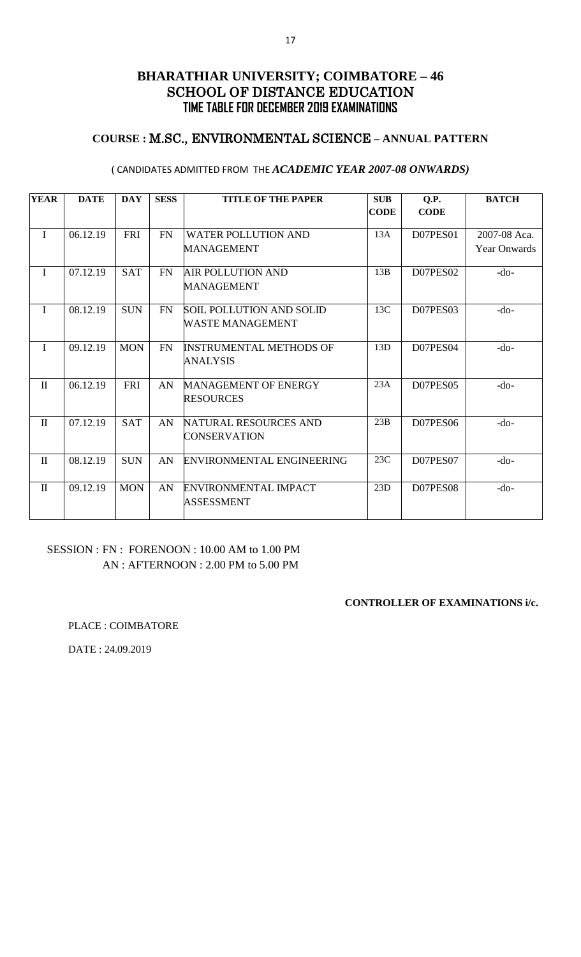## **COURSE :** M.SC., ENVIRONMENTAL SCIENCE **– ANNUAL PATTERN**

#### ( CANDIDATES ADMITTED FROM THE *ACADEMIC YEAR 2007-08 ONWARDS)*

| <b>YEAR</b>  | <b>DATE</b> | <b>DAY</b> | <b>SESS</b> | <b>TITLE OF THE PAPER</b>                           | <b>SUB</b><br><b>CODE</b> | Q.P.<br><b>CODE</b> | <b>BATCH</b>                        |
|--------------|-------------|------------|-------------|-----------------------------------------------------|---------------------------|---------------------|-------------------------------------|
| $\mathbf I$  | 06.12.19    | <b>FRI</b> | <b>FN</b>   | <b>WATER POLLUTION AND</b><br><b>MANAGEMENT</b>     | 13A                       | D07PES01            | 2007-08 Aca.<br><b>Year Onwards</b> |
| $\mathbf I$  | 07.12.19    | <b>SAT</b> | <b>FN</b>   | <b>AIR POLLUTION AND</b><br><b>MANAGEMENT</b>       | 13B                       | D07PES02            | $-do-$                              |
| $\mathbf I$  | 08.12.19    | <b>SUN</b> | <b>FN</b>   | <b>SOIL POLLUTION AND SOLID</b><br>WASTE MANAGEMENT | 13C                       | D07PES03            | $-do-$                              |
| $\mathbf I$  | 09.12.19    | <b>MON</b> | <b>FN</b>   | <b>INSTRUMENTAL METHODS OF</b><br><b>ANALYSIS</b>   | 13D                       | D07PES04            | $-do-$                              |
| $\rm II$     | 06.12.19    | <b>FRI</b> | AN          | <b>MANAGEMENT OF ENERGY</b><br><b>RESOURCES</b>     | 23A                       | D07PES05            | $-do-$                              |
| $\mathbf{I}$ | 07.12.19    | <b>SAT</b> | AN          | NATURAL RESOURCES AND<br>CONSERVATION               | 23B                       | D07PES06            | $-do-$                              |
| $\rm II$     | 08.12.19    | <b>SUN</b> | AN          | <b>ENVIRONMENTAL ENGINEERING</b>                    | 23C                       | D07PES07            | $-do-$                              |
| $\mathbf{I}$ | 09.12.19    | <b>MON</b> | AN          | <b>ENVIRONMENTAL IMPACT</b><br><b>ASSESSMENT</b>    | 23D                       | D07PES08            | $-do-$                              |

# SESSION : FN : FORENOON : 10.00 AM to 1.00 PM AN : AFTERNOON : 2.00 PM to 5.00 PM

#### **CONTROLLER OF EXAMINATIONS i/c.**

PLACE : COIMBATORE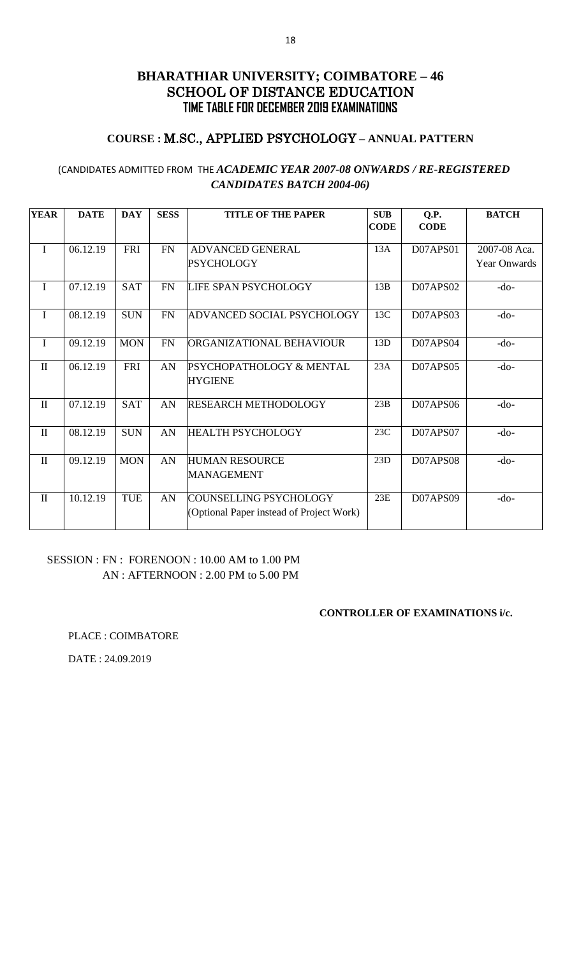## **COURSE :** M.SC., APPLIED PSYCHOLOGY **– ANNUAL PATTERN**

## (CANDIDATES ADMITTED FROM THE *ACADEMIC YEAR 2007-08 ONWARDS / RE-REGISTERED CANDIDATES BATCH 2004-06)*

| <b>YEAR</b>  | <b>DATE</b> | <b>DAY</b> | <b>SESS</b> | <b>TITLE OF THE PAPER</b>                                          | <b>SUB</b>  | Q.P.            | <b>BATCH</b>        |
|--------------|-------------|------------|-------------|--------------------------------------------------------------------|-------------|-----------------|---------------------|
|              |             |            |             |                                                                    | <b>CODE</b> | <b>CODE</b>     |                     |
| $\mathbf I$  | 06.12.19    | <b>FRI</b> | <b>FN</b>   | <b>ADVANCED GENERAL</b>                                            | 13A         | D07APS01        | 2007-08 Aca.        |
|              |             |            |             | <b>PSYCHOLOGY</b>                                                  |             |                 | <b>Year Onwards</b> |
| $\mathbf I$  | 07.12.19    | <b>SAT</b> | <b>FN</b>   | LIFE SPAN PSYCHOLOGY                                               | 13B         | D07APS02        | $-do-$              |
| I            | 08.12.19    | <b>SUN</b> | FN          | ADVANCED SOCIAL PSYCHOLOGY                                         | 13C         | D07APS03        | $-do-$              |
| $\mathbf I$  | 09.12.19    | <b>MON</b> | <b>FN</b>   | ORGANIZATIONAL BEHAVIOUR                                           | 13D         | D07APS04        | $-do-$              |
| $\mathbf{I}$ | 06.12.19    | <b>FRI</b> | AN          | PSYCHOPATHOLOGY & MENTAL<br><b>HYGIENE</b>                         | 23A         | D07APS05        | $-do-$              |
| $\mathbf{I}$ | 07.12.19    | <b>SAT</b> | AN          | <b>RESEARCH METHODOLOGY</b>                                        | 23B         | D07APS06        | -do-                |
| $\mathbf{I}$ | 08.12.19    | <b>SUN</b> | AN          | <b>HEALTH PSYCHOLOGY</b>                                           | 23C         | D07APS07        | $-do-$              |
| $\mathbf{I}$ | 09.12.19    | <b>MON</b> | AN          | <b>HUMAN RESOURCE</b><br><b>MANAGEMENT</b>                         | 23D         | <b>D07APS08</b> | $-do-$              |
| $\mathbf{I}$ | 10.12.19    | TUE        | AN          | COUNSELLING PSYCHOLOGY<br>(Optional Paper instead of Project Work) | 23E         | D07APS09        | $-do-$              |

## SESSION : FN : FORENOON : 10.00 AM to 1.00 PM AN : AFTERNOON : 2.00 PM to 5.00 PM

#### **CONTROLLER OF EXAMINATIONS i/c.**

PLACE : COIMBATORE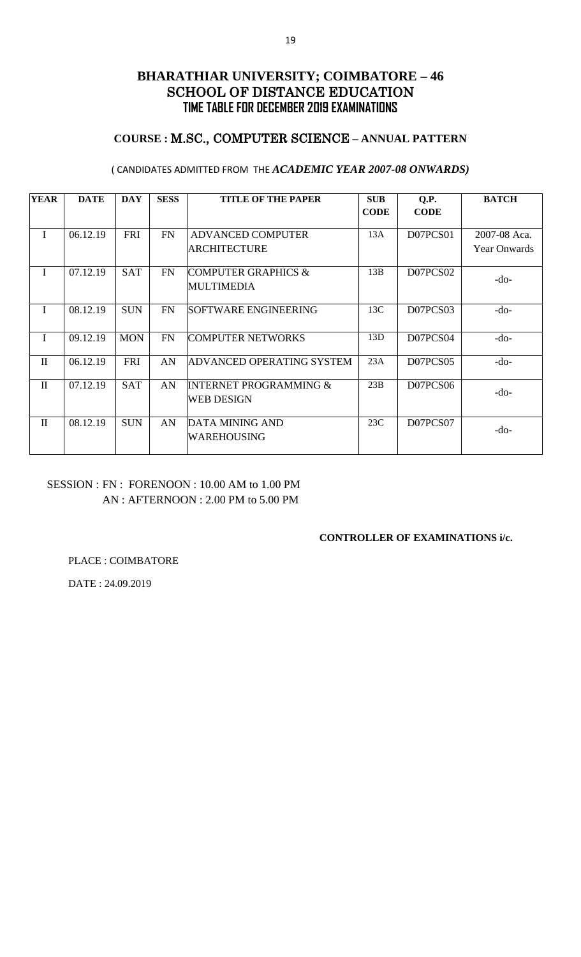## **COURSE :** M.SC., COMPUTER SCIENCE **– ANNUAL PATTERN**

#### ( CANDIDATES ADMITTED FROM THE *ACADEMIC YEAR 2007-08 ONWARDS)*

| <b>YEAR</b>  | <b>DATE</b> | <b>DAY</b> | <b>SESS</b> | <b>TITLE OF THE PAPER</b>         | <b>SUB</b>  | Q.P.        | <b>BATCH</b>        |
|--------------|-------------|------------|-------------|-----------------------------------|-------------|-------------|---------------------|
|              |             |            |             |                                   | <b>CODE</b> | <b>CODE</b> |                     |
|              |             |            |             |                                   |             |             |                     |
| I            | 06.12.19    | <b>FRI</b> | <b>FN</b>   | <b>ADVANCED COMPUTER</b>          | 13A         | D07PCS01    | 2007-08 Aca.        |
|              |             |            |             | ARCHITECTURE                      |             |             | <b>Year Onwards</b> |
|              |             |            |             |                                   |             |             |                     |
| I            | 07.12.19    | <b>SAT</b> | FN          | <b>COMPUTER GRAPHICS &amp;</b>    | 13B         | D07PCS02    |                     |
|              |             |            |             | <b>MULTIMEDIA</b>                 |             |             | -do-                |
|              |             |            |             |                                   |             |             |                     |
| I            | 08.12.19    | <b>SUN</b> | <b>FN</b>   | SOFTWARE ENGINEERING              | 13C         | D07PCS03    | -do-                |
|              |             |            |             |                                   |             |             |                     |
| I            | 09.12.19    | <b>MON</b> | <b>FN</b>   | <b>COMPUTER NETWORKS</b>          | 13D         | D07PCS04    | $-do-$              |
|              |             |            |             |                                   |             |             |                     |
| $\mathbf{I}$ | 06.12.19    | <b>FRI</b> | AN          | ADVANCED OPERATING SYSTEM         | 23A         | D07PCS05    | $-do-$              |
|              |             |            |             |                                   |             |             |                     |
| $\mathbf{I}$ | 07.12.19    | <b>SAT</b> | AN          | <b>INTERNET PROGRAMMING &amp;</b> | 23B         | D07PCS06    |                     |
|              |             |            |             | <b>WEB DESIGN</b>                 |             |             | $-do-$              |
|              |             |            |             |                                   |             |             |                     |
| $\mathbf{I}$ | 08.12.19    | <b>SUN</b> | AN          | <b>DATA MINING AND</b>            | 23C         | D07PCS07    |                     |
|              |             |            |             | WAREHOUSING                       |             |             | -do-                |
|              |             |            |             |                                   |             |             |                     |

## SESSION : FN : FORENOON : 10.00 AM to 1.00 PM AN : AFTERNOON : 2.00 PM to 5.00 PM

### **CONTROLLER OF EXAMINATIONS i/c.**

PLACE : COIMBATORE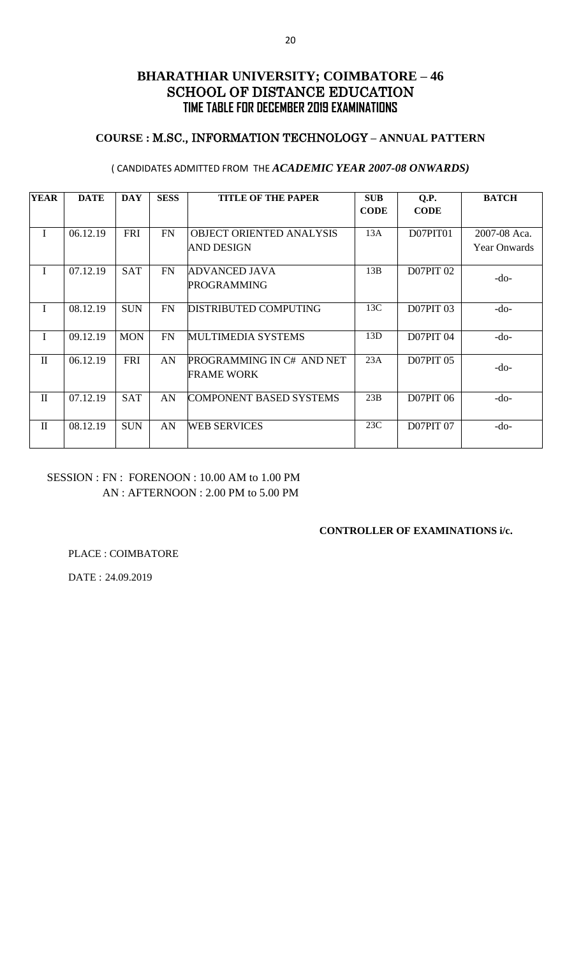## **COURSE :** M.SC., INFORMATION TECHNOLOGY **– ANNUAL PATTERN**

### ( CANDIDATES ADMITTED FROM THE *ACADEMIC YEAR 2007-08 ONWARDS)*

| <b>YEAR</b>  | <b>DATE</b> | <b>DAY</b> | <b>SESS</b> | <b>TITLE OF THE PAPER</b>                      | <b>SUB</b><br><b>CODE</b> | Q.P.<br><b>CODE</b> | <b>BATCH</b>                        |
|--------------|-------------|------------|-------------|------------------------------------------------|---------------------------|---------------------|-------------------------------------|
| I            | 06.12.19    | <b>FRI</b> | FN          | OBJECT ORIENTED ANALYSIS<br><b>AND DESIGN</b>  | 13A                       | D07PIT01            | 2007-08 Aca.<br><b>Year Onwards</b> |
| I            | 07.12.19    | <b>SAT</b> | FN          | ADVANCED JAVA<br><b>PROGRAMMING</b>            | 13B                       | <b>D07PIT 02</b>    | $-do-$                              |
| I            | 08.12.19    | <b>SUN</b> | <b>FN</b>   | <b>DISTRIBUTED COMPUTING</b>                   | 13C                       | <b>D07PIT 03</b>    | -do-                                |
| I            | 09.12.19    | <b>MON</b> | <b>FN</b>   | MULTIMEDIA SYSTEMS                             | 13D                       | <b>D07PIT 04</b>    | -do-                                |
| $\mathbf{I}$ | 06.12.19    | <b>FRI</b> | AN          | PROGRAMMING IN C# AND NET<br><b>FRAME WORK</b> | 23A                       | <b>D07PIT 05</b>    | $-do-$                              |
| $\mathbf{I}$ | 07.12.19    | <b>SAT</b> | AN          | COMPONENT BASED SYSTEMS                        | 23B                       | <b>D07PIT 06</b>    | -do-                                |
| $\mathbf{I}$ | 08.12.19    | <b>SUN</b> | AN          | WEB SERVICES                                   | 23C                       | <b>D07PIT 07</b>    | -do-                                |

## SESSION : FN : FORENOON : 10.00 AM to 1.00 PM AN : AFTERNOON : 2.00 PM to 5.00 PM

### **CONTROLLER OF EXAMINATIONS i/c.**

PLACE : COIMBATORE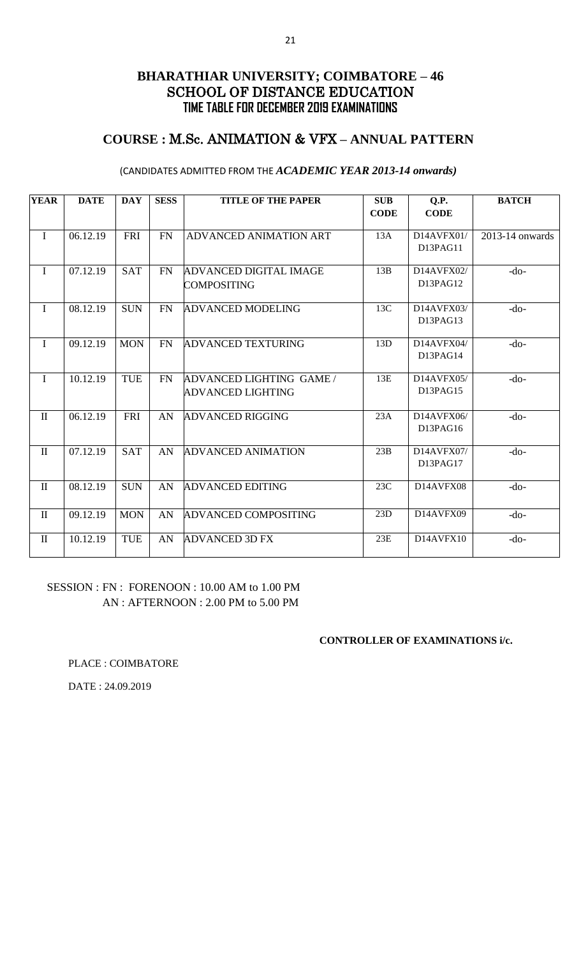# **COURSE :** M.Sc. ANIMATION & VFX **– ANNUAL PATTERN**

### (CANDIDATES ADMITTED FROM THE *ACADEMIC YEAR 2013-14 onwards)*

| <b>YEAR</b>  | <b>DATE</b> | <b>DAY</b> | <b>SESS</b> | <b>TITLE OF THE PAPER</b>                           | <b>SUB</b><br><b>CODE</b> | Q.P.<br><b>CODE</b>    | <b>BATCH</b>    |
|--------------|-------------|------------|-------------|-----------------------------------------------------|---------------------------|------------------------|-----------------|
| $\mathbf I$  | 06.12.19    | <b>FRI</b> | <b>FN</b>   | ADVANCED ANIMATION ART                              | 13A                       | D14AVFX01/<br>D13PAG11 | 2013-14 onwards |
| $\mathbf I$  | 07.12.19    | <b>SAT</b> | <b>FN</b>   | <b>ADVANCED DIGITAL IMAGE</b><br><b>COMPOSITING</b> | 13B                       | D14AVFX02/<br>D13PAG12 | $-do-$          |
| $\mathbf I$  | 08.12.19    | <b>SUN</b> | <b>FN</b>   | <b>ADVANCED MODELING</b>                            | 13C                       | D14AVFX03/<br>D13PAG13 | $-dO$           |
| $\mathbf I$  | 09.12.19    | <b>MON</b> | <b>FN</b>   | <b>ADVANCED TEXTURING</b>                           | 13D                       | D14AVFX04/<br>D13PAG14 | $-do-$          |
| $\mathbf I$  | 10.12.19    | <b>TUE</b> | <b>FN</b>   | ADVANCED LIGHTING GAME /<br>ADVANCED LIGHTING       | 13E                       | D14AVFX05/<br>D13PAG15 | $-do-$          |
| $\mathbf{I}$ | 06.12.19    | <b>FRI</b> | AN          | <b>ADVANCED RIGGING</b>                             | 23A                       | D14AVFX06/<br>D13PAG16 | $-do-$          |
| $\mathbf{I}$ | 07.12.19    | <b>SAT</b> | AN          | <b>ADVANCED ANIMATION</b>                           | 23B                       | D14AVFX07/<br>D13PAG17 | $-do-$          |
| $\mathbf{I}$ | 08.12.19    | <b>SUN</b> | AN          | <b>ADVANCED EDITING</b>                             | 23C                       | D14AVFX08              | $-do-$          |
| $\mathbf{I}$ | 09.12.19    | <b>MON</b> | AN          | <b>ADVANCED COMPOSITING</b>                         | 23D                       | D14AVFX09              | $-do-$          |
| $\mathbf{I}$ | 10.12.19    | <b>TUE</b> | AN          | <b>ADVANCED 3D FX</b>                               | 23E                       | D14AVFX10              | $-do-$          |

### SESSION : FN : FORENOON : 10.00 AM to 1.00 PM AN : AFTERNOON : 2.00 PM to 5.00 PM

### **CONTROLLER OF EXAMINATIONS i/c.**

PLACE : COIMBATORE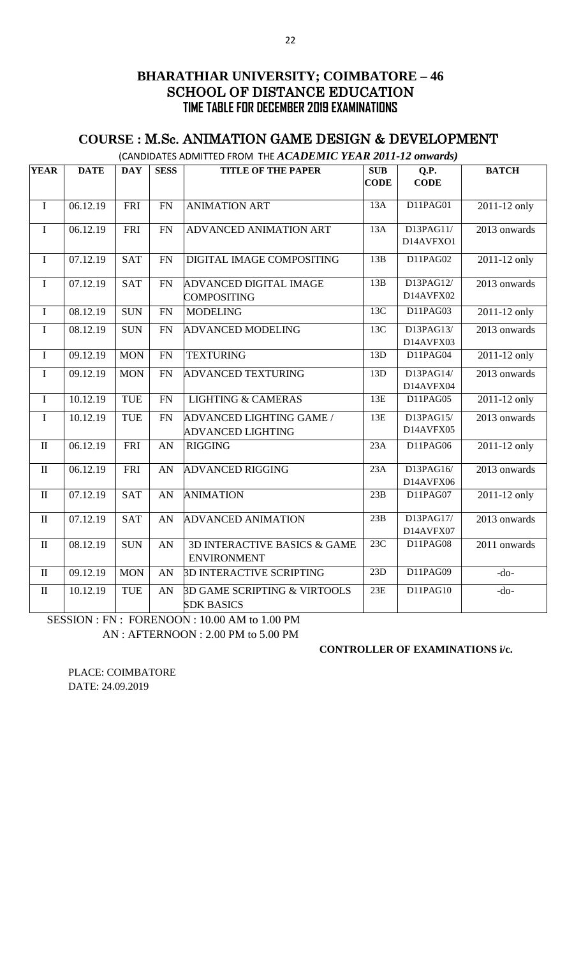# **COURSE :** M.Sc. ANIMATION GAME DESIGN & DEVELOPMENT

|  | (CANDIDATES ADMITTED FROM THE $ACADEMIC$ YEAR 2011-12 onwards) |
|--|----------------------------------------------------------------|
|--|----------------------------------------------------------------|

| <b>YEAR</b>  | <b>DATE</b> | <b>DAY</b> | <b>SESS</b> | <b>TITLE OF THE PAPER</b>               | SUB             | Q.P.                  | <b>BATCH</b>   |
|--------------|-------------|------------|-------------|-----------------------------------------|-----------------|-----------------------|----------------|
|              |             |            |             |                                         | <b>CODE</b>     | <b>CODE</b>           |                |
|              |             |            |             |                                         |                 |                       |                |
| $\bf I$      | 06.12.19    | <b>FRI</b> | <b>FN</b>   | <b>ANIMATION ART</b>                    | 13A             | D11PAG01              | 2011-12 only   |
| $\mathbf I$  | 06.12.19    | FRI        | FN          | ADVANCED ANIMATION ART                  | 13A             | D13PAG11/             | 2013 onwards   |
|              |             |            |             |                                         |                 | D14AVFXO1             |                |
| $\bf I$      | 07.12.19    | <b>SAT</b> | <b>FN</b>   | DIGITAL IMAGE COMPOSITING               | 13B             | $\overline{D}11PAG02$ | 2011-12 only   |
| $\mathbf I$  | 07.12.19    | <b>SAT</b> | <b>FN</b>   | ADVANCED DIGITAL IMAGE                  | 13B             | D13PAG12/             | 2013 onwards   |
|              |             |            |             | <b>COMPOSITING</b>                      |                 | D14AVFX02             |                |
| $\mathbf I$  | 08.12.19    | <b>SUN</b> | <b>FN</b>   | <b>MODELING</b>                         | 13 <sub>C</sub> | D11PAG03              | 2011-12 only   |
| $\mathbf I$  | 08.12.19    | <b>SUN</b> | <b>FN</b>   | <b>ADVANCED MODELING</b>                | 13C             | D13PAG13/             | $2013$ onwards |
|              |             |            |             |                                         |                 | D14AVFX03             |                |
| $\mathbf I$  | 09.12.19    | <b>MON</b> | <b>FN</b>   | <b>TEXTURING</b>                        | 13D             | D11PAG04              | 2011-12 only   |
| $\mathbf I$  | 09.12.19    | <b>MON</b> | FN          | <b>ADVANCED TEXTURING</b>               | 13D             | D13PAG14/             | 2013 onwards   |
|              |             |            |             |                                         |                 | D14AVFX04             |                |
| $\bf I$      | 10.12.19    | <b>TUE</b> | FN          | <b>LIGHTING &amp; CAMERAS</b>           | 13E             | D11PAG05              | 2011-12 only   |
| $\mathbf I$  | 10.12.19    | <b>TUE</b> | <b>FN</b>   | ADVANCED LIGHTING GAME /                | 13E             | D13PAG15/             | 2013 onwards   |
|              |             |            |             | <b>ADVANCED LIGHTING</b>                |                 | D14AVFX05             |                |
| $\mathbf{I}$ | 06.12.19    | <b>FRI</b> | AN          | <b>RIGGING</b>                          | 23A             | D11PAG06              | $2011-12$ only |
| $\rm II$     | 06.12.19    | <b>FRI</b> | AN          | <b>ADVANCED RIGGING</b>                 | 23A             | D13PAG16/             | 2013 onwards   |
|              |             |            |             |                                         |                 | D14AVFX06             |                |
| $\rm II$     | 07.12.19    | <b>SAT</b> | AN          | <b>ANIMATION</b>                        | 23B             | D11PAG07              | 2011-12 only   |
| $\rm II$     | 07.12.19    | <b>SAT</b> | <b>AN</b>   | <b>ADVANCED ANIMATION</b>               | 23B             | D13PAG17/             | 2013 onwards   |
|              |             |            |             |                                         |                 | D14AVFX07             |                |
| $\mathbf{I}$ | 08.12.19    | <b>SUN</b> | AN          | 3D INTERACTIVE BASICS & GAME            | 23C             | D11PAG08              | 2011 onwards   |
|              |             |            |             | <b>ENVIRONMENT</b>                      |                 |                       |                |
| $\mathbf{I}$ | 09.12.19    | <b>MON</b> | AN          | <b>3D INTERACTIVE SCRIPTING</b>         | 23D             | D11PAG09              | $-do-$         |
| $\mathbf{I}$ | 10.12.19    | <b>TUE</b> | AN          | <b>3D GAME SCRIPTING &amp; VIRTOOLS</b> | 23E             | D11PAG10              | $-do-$         |
|              |             |            |             | <b>SDK BASICS</b>                       |                 |                       |                |

SESSION : FN : FORENOON : 10.00 AM to 1.00 PM AN : AFTERNOON : 2.00 PM to 5.00 PM

**CONTROLLER OF EXAMINATIONS i/c.**

PLACE: COIMBATORE DATE: 24.09.2019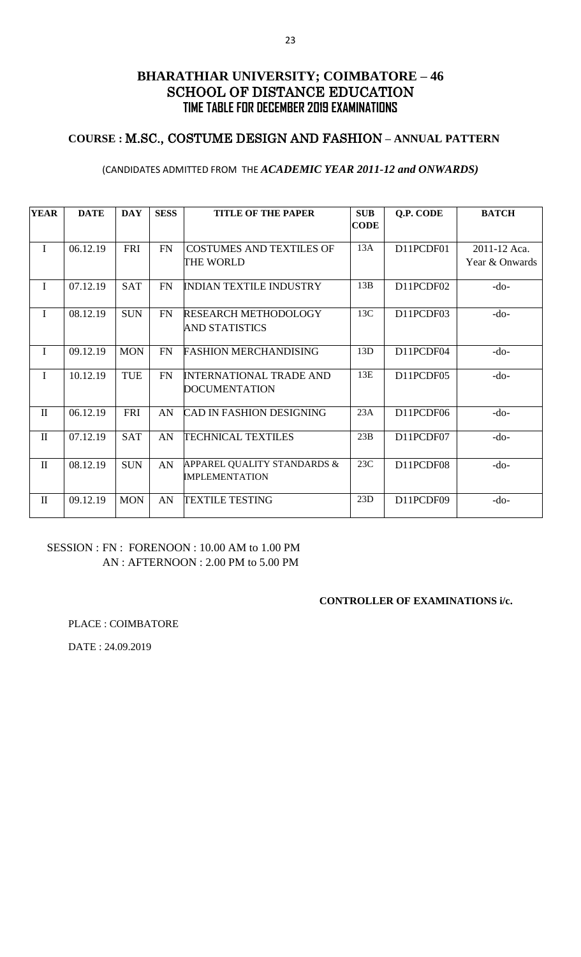## **COURSE :** M.SC., COSTUME DESIGN AND FASHION **– ANNUAL PATTERN**

#### (CANDIDATES ADMITTED FROM THE *ACADEMIC YEAR 2011-12 and ONWARDS)*

| <b>YEAR</b>  | <b>DATE</b> | <b>DAY</b> | <b>SESS</b> | <b>TITLE OF THE PAPER</b>                            | <b>SUB</b>  | Q.P. CODE | <b>BATCH</b>   |
|--------------|-------------|------------|-------------|------------------------------------------------------|-------------|-----------|----------------|
|              |             |            |             |                                                      | <b>CODE</b> |           |                |
| $\mathbf I$  | 06.12.19    | FRI        | FN          | <b>COSTUMES AND TEXTILES OF</b>                      | 13A         | D11PCDF01 | 2011-12 Aca.   |
|              |             |            |             | THE WORLD                                            |             |           | Year & Onwards |
| $\mathbf I$  | 07.12.19    | <b>SAT</b> | FN          | <b>INDIAN TEXTILE INDUSTRY</b>                       | 13B         | D11PCDF02 | $-do-$         |
| $\mathbf I$  | 08.12.19    | <b>SUN</b> | FN          | <b>RESEARCH METHODOLOGY</b>                          | 13C         | D11PCDF03 | $-do-$         |
|              |             |            |             | <b>AND STATISTICS</b>                                |             |           |                |
| $\mathbf I$  | 09.12.19    | <b>MON</b> | FN          | <b>FASHION MERCHANDISING</b>                         | 13D         | D11PCDF04 | $-do-$         |
| $\mathbf I$  | 10.12.19    | <b>TUE</b> | <b>FN</b>   | <b>INTERNATIONAL TRADE AND</b>                       | 13E         | D11PCDF05 | $-do-$         |
|              |             |            |             | <b>DOCUMENTATION</b>                                 |             |           |                |
| $\mathbf{I}$ | 06.12.19    | FRI        | AN          | <b>CAD IN FASHION DESIGNING</b>                      | 23A         | D11PCDF06 | $-do-$         |
| $\mathbf{I}$ | 07.12.19    | <b>SAT</b> | AN          | <b>TECHNICAL TEXTILES</b>                            | 23B         | D11PCDF07 | $-do-$         |
| $\mathbf{I}$ | 08.12.19    | <b>SUN</b> | AN          | APPAREL QUALITY STANDARDS &<br><b>IMPLEMENTATION</b> | 23C         | D11PCDF08 | $-do-$         |
| $\mathbf{I}$ | 09.12.19    | <b>MON</b> | AN          | <b>TEXTILE TESTING</b>                               | 23D         | D11PCDF09 | $-do-$         |

# SESSION : FN : FORENOON : 10.00 AM to 1.00 PM AN : AFTERNOON : 2.00 PM to 5.00 PM

#### **CONTROLLER OF EXAMINATIONS i/c.**

PLACE : COIMBATORE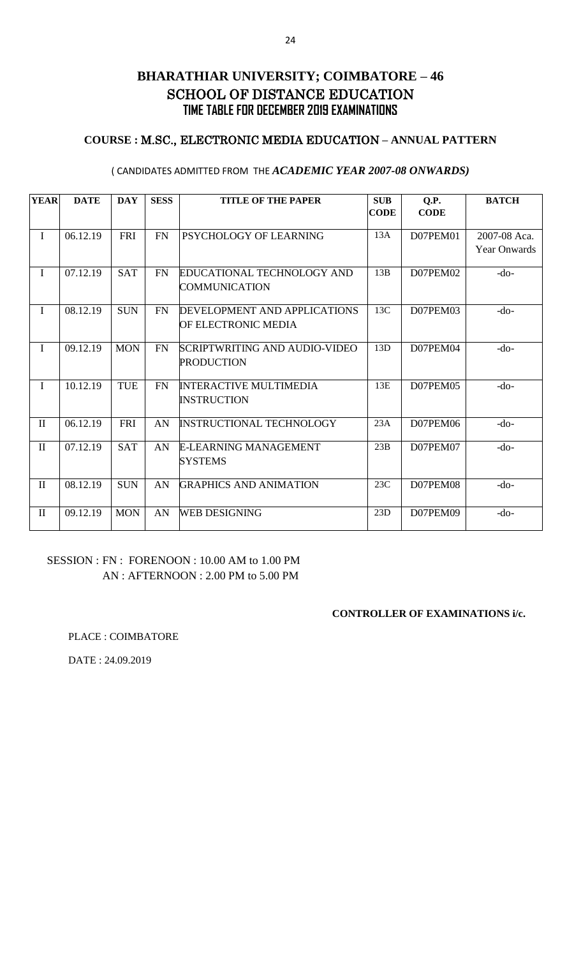## **COURSE :** M.SC., ELECTRONIC MEDIA EDUCATION **– ANNUAL PATTERN**

#### ( CANDIDATES ADMITTED FROM THE *ACADEMIC YEAR 2007-08 ONWARDS)*

| <b>YEAR</b>  | <b>DATE</b> | <b>DAY</b> | <b>SESS</b> | <b>TITLE OF THE PAPER</b>       | <b>SUB</b>  | Q.P.        | <b>BATCH</b>        |
|--------------|-------------|------------|-------------|---------------------------------|-------------|-------------|---------------------|
|              |             |            |             |                                 | <b>CODE</b> | <b>CODE</b> |                     |
| $\bf{I}$     | 06.12.19    | <b>FRI</b> | <b>FN</b>   | PSYCHOLOGY OF LEARNING          | 13A         | D07PEM01    | 2007-08 Aca.        |
|              |             |            |             |                                 |             |             | <b>Year Onwards</b> |
| $\mathbf I$  | 07.12.19    | <b>SAT</b> | FN          | EDUCATIONAL TECHNOLOGY AND      | 13B         | D07PEM02    | $-do-$              |
|              |             |            |             | COMMUNICATION                   |             |             |                     |
| $\mathbf{I}$ | 08.12.19    | <b>SUN</b> | FN          | DEVELOPMENT AND APPLICATIONS    | 13C         | D07PEM03    | $-do-$              |
|              |             |            |             | OF ELECTRONIC MEDIA             |             |             |                     |
| $\mathbf I$  | 09.12.19    | <b>MON</b> | FN          | SCRIPTWRITING AND AUDIO-VIDEO   | 13D         | D07PEM04    | $-do-$              |
|              |             |            |             | <b>PRODUCTION</b>               |             |             |                     |
| I            | 10.12.19    | <b>TUE</b> | <b>FN</b>   | <b>INTERACTIVE MULTIMEDIA</b>   | 13E         | D07PEM05    | $-do-$              |
|              |             |            |             | <b>INSTRUCTION</b>              |             |             |                     |
| $\rm II$     | 06.12.19    | <b>FRI</b> | AN          | <b>INSTRUCTIONAL TECHNOLOGY</b> | 23A         | D07PEM06    | $-do-$              |
| $\mathbf{I}$ | 07.12.19    | <b>SAT</b> | AN          | <b>E-LEARNING MANAGEMENT</b>    | 23B         | D07PEM07    | $-do-$              |
|              |             |            |             | <b>SYSTEMS</b>                  |             |             |                     |
| $\mathbf{I}$ | 08.12.19    | <b>SUN</b> | AN          | <b>GRAPHICS AND ANIMATION</b>   | 23C         | D07PEM08    | $-do-$              |
|              |             |            |             |                                 |             |             |                     |
| $\mathbf{I}$ | 09.12.19    | <b>MON</b> | AN          | <b>WEB DESIGNING</b>            | 23D         | D07PEM09    | $-do-$              |

### SESSION : FN : FORENOON : 10.00 AM to 1.00 PM AN : AFTERNOON : 2.00 PM to 5.00 PM

### **CONTROLLER OF EXAMINATIONS i/c.**

PLACE : COIMBATORE